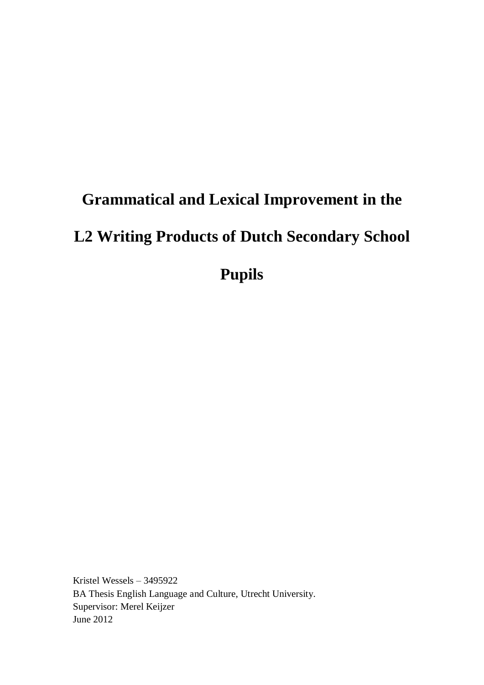# **Grammatical and Lexical Improvement in the**

# **L2 Writing Products of Dutch Secondary School**

**Pupils**

Kristel Wessels – 3495922 BA Thesis English Language and Culture, Utrecht University. Supervisor: Merel Keijzer June 2012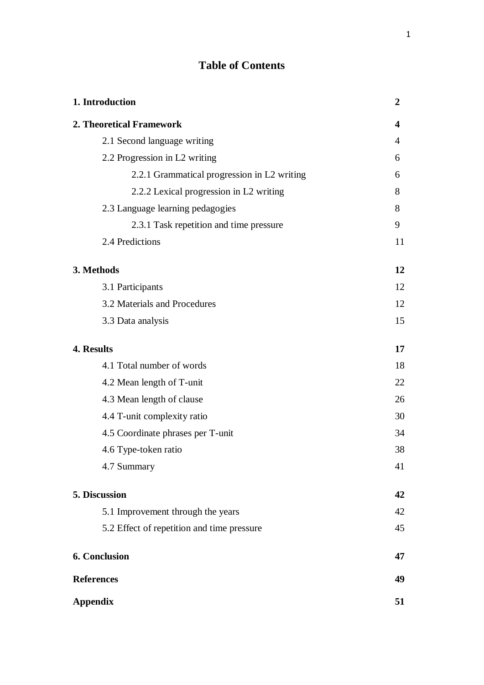# **Table of Contents**

| 1. Introduction                             | $\boldsymbol{2}$ |
|---------------------------------------------|------------------|
| 2. Theoretical Framework                    | 4                |
| 2.1 Second language writing                 | 4                |
| 2.2 Progression in L2 writing               | 6                |
| 2.2.1 Grammatical progression in L2 writing | 6                |
| 2.2.2 Lexical progression in L2 writing     | 8                |
| 2.3 Language learning pedagogies            | 8                |
| 2.3.1 Task repetition and time pressure     | 9                |
| 2.4 Predictions                             | 11               |
| 3. Methods                                  | 12               |
| 3.1 Participants                            | 12               |
| 3.2 Materials and Procedures                | 12               |
| 3.3 Data analysis                           | 15               |
| 4. Results                                  | 17               |
| 4.1 Total number of words                   | 18               |
| 4.2 Mean length of T-unit                   | 22               |
| 4.3 Mean length of clause                   | 26               |
| 4.4 T-unit complexity ratio                 | 30               |
| 4.5 Coordinate phrases per T-unit           | 34               |
| 4.6 Type-token ratio                        | 38               |
| 4.7 Summary                                 | 41               |
| 5. Discussion                               | 42               |
| 5.1 Improvement through the years           | 42               |
| 5.2 Effect of repetition and time pressure  | 45               |
| 6. Conclusion                               | 47               |
| <b>References</b>                           | 49               |
| <b>Appendix</b>                             | 51               |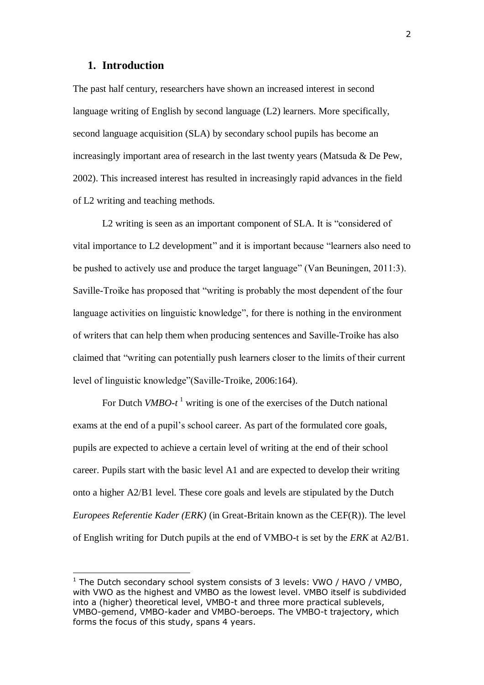#### **1. Introduction**

The past half century, researchers have shown an increased interest in second language writing of English by second language (L2) learners. More specifically, second language acquisition (SLA) by secondary school pupils has become an increasingly important area of research in the last twenty years (Matsuda & De Pew, 2002). This increased interest has resulted in increasingly rapid advances in the field of L2 writing and teaching methods.

L2 writing is seen as an important component of SLA. It is "considered of vital importance to L2 development" and it is important because "learners also need to be pushed to actively use and produce the target language" (Van Beuningen, 2011:3). Saville-Troike has proposed that "writing is probably the most dependent of the four language activities on linguistic knowledge", for there is nothing in the environment of writers that can help them when producing sentences and Saville-Troike has also claimed that "writing can potentially push learners closer to the limits of their current level of linguistic knowledge"(Saville-Troike, 2006:164).

For Dutch *VMBO-t*<sup>1</sup> writing is one of the exercises of the Dutch national exams at the end of a pupil's school career. As part of the formulated core goals, pupils are expected to achieve a certain level of writing at the end of their school career. Pupils start with the basic level A1 and are expected to develop their writing onto a higher A2/B1 level. These core goals and levels are stipulated by the Dutch *Europees Referentie Kader (ERK)* (in Great-Britain known as the CEF(R)). The level of English writing for Dutch pupils at the end of VMBO-t is set by the *ERK* at A2/B1.

 $1$  The Dutch secondary school system consists of 3 levels: VWO / HAVO / VMBO, with VWO as the highest and VMBO as the lowest level. VMBO itself is subdivided into a (higher) theoretical level, VMBO-t and three more practical sublevels, VMBO-gemend, VMBO-kader and VMBO-beroeps. The VMBO-t trajectory, which forms the focus of this study, spans 4 years.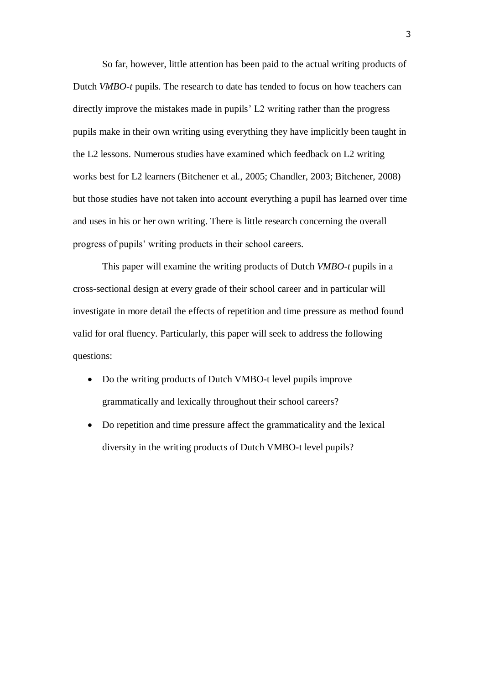So far, however, little attention has been paid to the actual writing products of Dutch *VMBO-t* pupils. The research to date has tended to focus on how teachers can directly improve the mistakes made in pupils' L2 writing rather than the progress pupils make in their own writing using everything they have implicitly been taught in the L2 lessons. Numerous studies have examined which feedback on L2 writing works best for L2 learners (Bitchener et al., 2005; Chandler, 2003; Bitchener, 2008) but those studies have not taken into account everything a pupil has learned over time and uses in his or her own writing. There is little research concerning the overall progress of pupils' writing products in their school careers.

This paper will examine the writing products of Dutch *VMBO-t* pupils in a cross-sectional design at every grade of their school career and in particular will investigate in more detail the effects of repetition and time pressure as method found valid for oral fluency. Particularly, this paper will seek to address the following questions:

- Do the writing products of Dutch VMBO-t level pupils improve grammatically and lexically throughout their school careers?
- Do repetition and time pressure affect the grammaticality and the lexical diversity in the writing products of Dutch VMBO-t level pupils?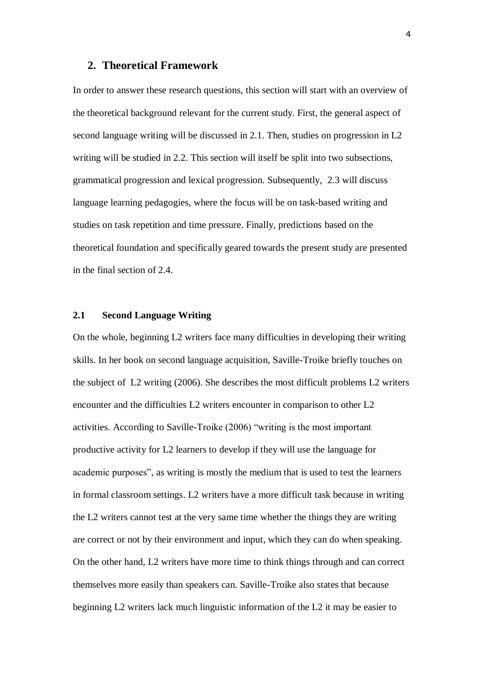#### **2. Theoretical Framework**

In order to answer these research questions, this section will start with an overview of the theoretical background relevant for the current study. First, the general aspect of second language writing will be discussed in 2.1. Then, studies on progression in L2 writing will be studied in 2.2. This section will itself be split into two subsections, grammatical progression and lexical progression. Subsequently, 2.3 will discuss language learning pedagogies, where the focus will be on task-based writing and studies on task repetition and time pressure. Finally, predictions based on the theoretical foundation and specifically geared towards the present study are presented in the final section of 2.4.

#### **2.1 Second Language Writing**

On the whole, beginning L2 writers face many difficulties in developing their writing skills. In her book on second language acquisition, Saville-Troike briefly touches on the subject of L2 writing (2006). She describes the most difficult problems L2 writers encounter and the difficulties L2 writers encounter in comparison to other L2 activities. According to Saville-Troike (2006) "writing is the most important productive activity for L2 learners to develop if they will use the language for academic purposes", as writing is mostly the medium that is used to test the learners in formal classroom settings. L2 writers have a more difficult task because in writing the L2 writers cannot test at the very same time whether the things they are writing are correct or not by their environment and input, which they can do when speaking. On the other hand, L2 writers have more time to think things through and can correct themselves more easily than speakers can. Saville-Troike also states that because beginning L2 writers lack much linguistic information of the L2 it may be easier to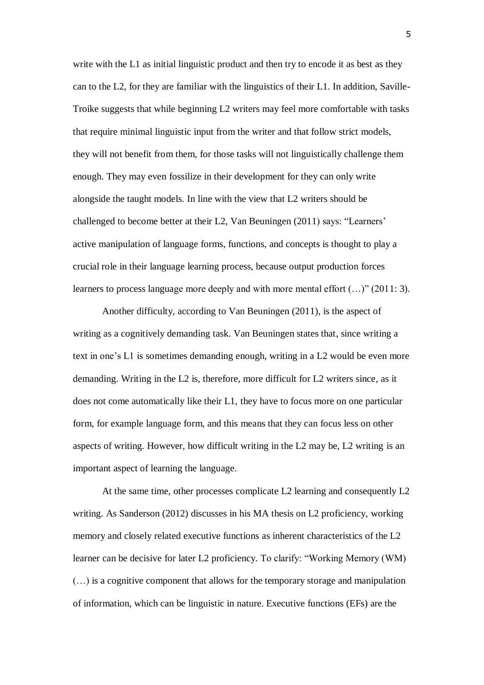write with the L1 as initial linguistic product and then try to encode it as best as they can to the L2, for they are familiar with the linguistics of their L1. In addition, Saville-Troike suggests that while beginning L2 writers may feel more comfortable with tasks that require minimal linguistic input from the writer and that follow strict models, they will not benefit from them, for those tasks will not linguistically challenge them enough. They may even fossilize in their development for they can only write alongside the taught models. In line with the view that L2 writers should be challenged to become better at their L2, Van Beuningen (2011) says: "Learners' active manipulation of language forms, functions, and concepts is thought to play a crucial role in their language learning process, because output production forces learners to process language more deeply and with more mental effort  $(...)$ " (2011: 3).

Another difficulty, according to Van Beuningen (2011), is the aspect of writing as a cognitively demanding task. Van Beuningen states that, since writing a text in one's L1 is sometimes demanding enough, writing in a L2 would be even more demanding. Writing in the L2 is, therefore, more difficult for L2 writers since, as it does not come automatically like their L1, they have to focus more on one particular form, for example language form, and this means that they can focus less on other aspects of writing. However, how difficult writing in the L2 may be, L2 writing is an important aspect of learning the language.

At the same time, other processes complicate L2 learning and consequently L2 writing. As Sanderson (2012) discusses in his MA thesis on L2 proficiency, working memory and closely related executive functions as inherent characteristics of the L2 learner can be decisive for later L2 proficiency. To clarify: "Working Memory (WM) (…) is a cognitive component that allows for the temporary storage and manipulation of information, which can be linguistic in nature. Executive functions (EFs) are the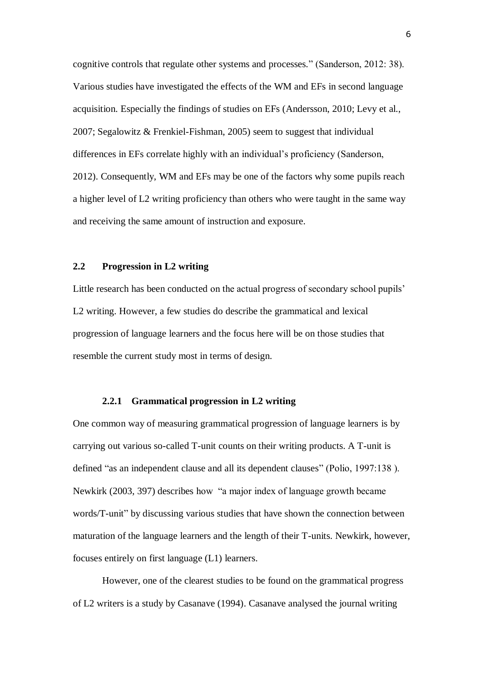cognitive controls that regulate other systems and processes." (Sanderson, 2012: 38). Various studies have investigated the effects of the WM and EFs in second language acquisition. Especially the findings of studies on EFs (Andersson, 2010; Levy et al., 2007; Segalowitz & Frenkiel-Fishman, 2005) seem to suggest that individual differences in EFs correlate highly with an individual's proficiency (Sanderson, 2012). Consequently, WM and EFs may be one of the factors why some pupils reach a higher level of L2 writing proficiency than others who were taught in the same way and receiving the same amount of instruction and exposure.

#### **2.2 Progression in L2 writing**

Little research has been conducted on the actual progress of secondary school pupils' L2 writing. However, a few studies do describe the grammatical and lexical progression of language learners and the focus here will be on those studies that resemble the current study most in terms of design.

#### **2.2.1 Grammatical progression in L2 writing**

One common way of measuring grammatical progression of language learners is by carrying out various so-called T-unit counts on their writing products. A T-unit is defined "as an independent clause and all its dependent clauses" (Polio, 1997:138 ). Newkirk (2003, 397) describes how "a major index of language growth became words/T-unit" by discussing various studies that have shown the connection between maturation of the language learners and the length of their T-units. Newkirk, however, focuses entirely on first language (L1) learners.

However, one of the clearest studies to be found on the grammatical progress of L2 writers is a study by Casanave (1994). Casanave analysed the journal writing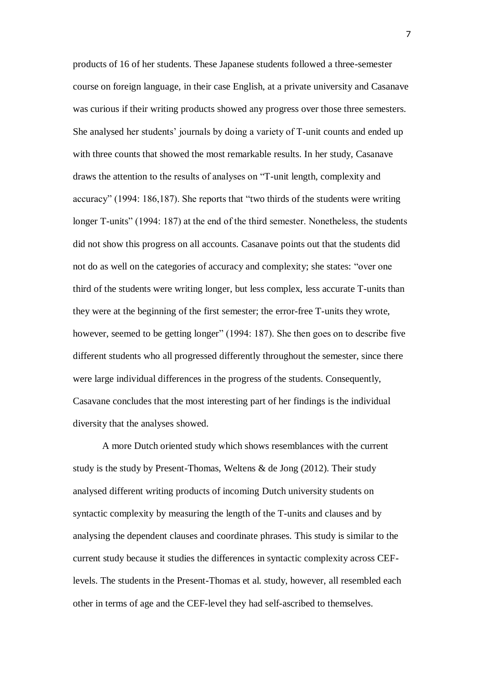products of 16 of her students. These Japanese students followed a three-semester course on foreign language, in their case English, at a private university and Casanave was curious if their writing products showed any progress over those three semesters. She analysed her students' journals by doing a variety of T-unit counts and ended up with three counts that showed the most remarkable results. In her study, Casanave draws the attention to the results of analyses on "T-unit length, complexity and accuracy" (1994: 186,187). She reports that "two thirds of the students were writing longer T-units" (1994: 187) at the end of the third semester. Nonetheless, the students did not show this progress on all accounts. Casanave points out that the students did not do as well on the categories of accuracy and complexity; she states: "over one third of the students were writing longer, but less complex, less accurate T-units than they were at the beginning of the first semester; the error-free T-units they wrote, however, seemed to be getting longer" (1994: 187). She then goes on to describe five different students who all progressed differently throughout the semester, since there were large individual differences in the progress of the students. Consequently, Casavane concludes that the most interesting part of her findings is the individual diversity that the analyses showed.

A more Dutch oriented study which shows resemblances with the current study is the study by Present-Thomas, Weltens & de Jong (2012). Their study analysed different writing products of incoming Dutch university students on syntactic complexity by measuring the length of the T-units and clauses and by analysing the dependent clauses and coordinate phrases. This study is similar to the current study because it studies the differences in syntactic complexity across CEFlevels. The students in the Present-Thomas et al. study, however, all resembled each other in terms of age and the CEF-level they had self-ascribed to themselves.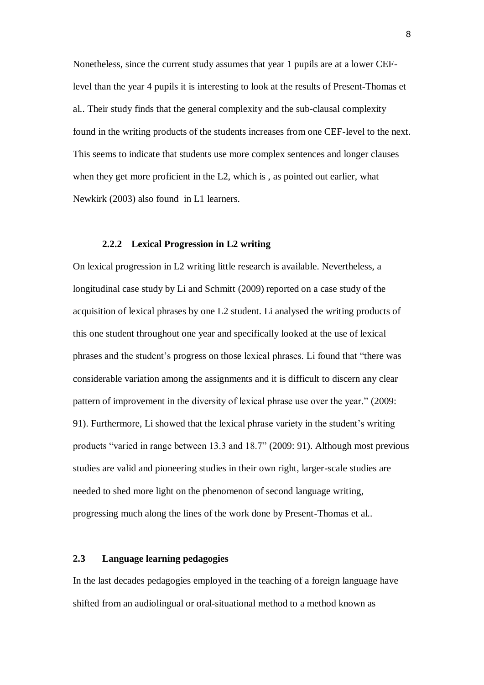Nonetheless, since the current study assumes that year 1 pupils are at a lower CEFlevel than the year 4 pupils it is interesting to look at the results of Present-Thomas et al.. Their study finds that the general complexity and the sub-clausal complexity found in the writing products of the students increases from one CEF-level to the next. This seems to indicate that students use more complex sentences and longer clauses when they get more proficient in the L2, which is, as pointed out earlier, what Newkirk (2003) also found in L1 learners.

#### **2.2.2 Lexical Progression in L2 writing**

On lexical progression in L2 writing little research is available. Nevertheless, a longitudinal case study by Li and Schmitt (2009) reported on a case study of the acquisition of lexical phrases by one L2 student. Li analysed the writing products of this one student throughout one year and specifically looked at the use of lexical phrases and the student's progress on those lexical phrases. Li found that "there was considerable variation among the assignments and it is difficult to discern any clear pattern of improvement in the diversity of lexical phrase use over the year." (2009: 91). Furthermore, Li showed that the lexical phrase variety in the student's writing products "varied in range between 13.3 and 18.7" (2009: 91). Although most previous studies are valid and pioneering studies in their own right, larger-scale studies are needed to shed more light on the phenomenon of second language writing, progressing much along the lines of the work done by Present-Thomas et al..

### **2.3 Language learning pedagogies**

In the last decades pedagogies employed in the teaching of a foreign language have shifted from an audiolingual or oral-situational method to a method known as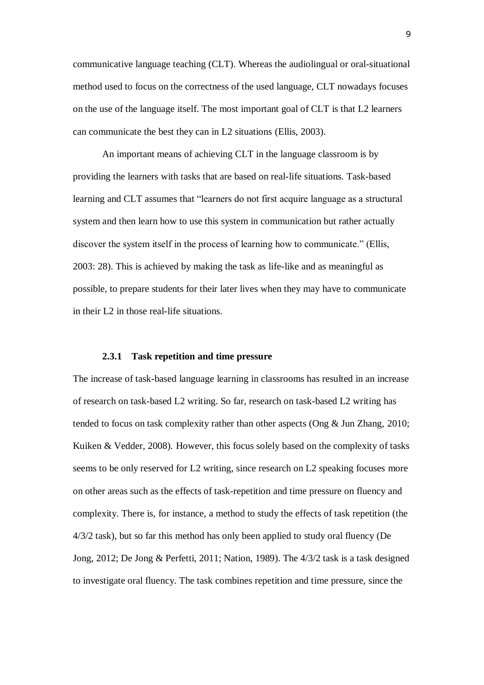communicative language teaching (CLT). Whereas the audiolingual or oral-situational method used to focus on the correctness of the used language, CLT nowadays focuses on the use of the language itself. The most important goal of CLT is that L2 learners can communicate the best they can in L2 situations (Ellis, 2003).

An important means of achieving CLT in the language classroom is by providing the learners with tasks that are based on real-life situations. Task-based learning and CLT assumes that "learners do not first acquire language as a structural system and then learn how to use this system in communication but rather actually discover the system itself in the process of learning how to communicate." (Ellis, 2003: 28). This is achieved by making the task as life-like and as meaningful as possible, to prepare students for their later lives when they may have to communicate in their L2 in those real-life situations.

#### **2.3.1 Task repetition and time pressure**

The increase of task-based language learning in classrooms has resulted in an increase of research on task-based L2 writing. So far, research on task-based L2 writing has tended to focus on task complexity rather than other aspects (Ong & Jun Zhang, 2010; Kuiken & Vedder, 2008). However, this focus solely based on the complexity of tasks seems to be only reserved for L2 writing, since research on L2 speaking focuses more on other areas such as the effects of task-repetition and time pressure on fluency and complexity. There is, for instance, a method to study the effects of task repetition (the 4/3/2 task), but so far this method has only been applied to study oral fluency (De Jong, 2012; De Jong & Perfetti, 2011; Nation, 1989). The 4/3/2 task is a task designed to investigate oral fluency. The task combines repetition and time pressure, since the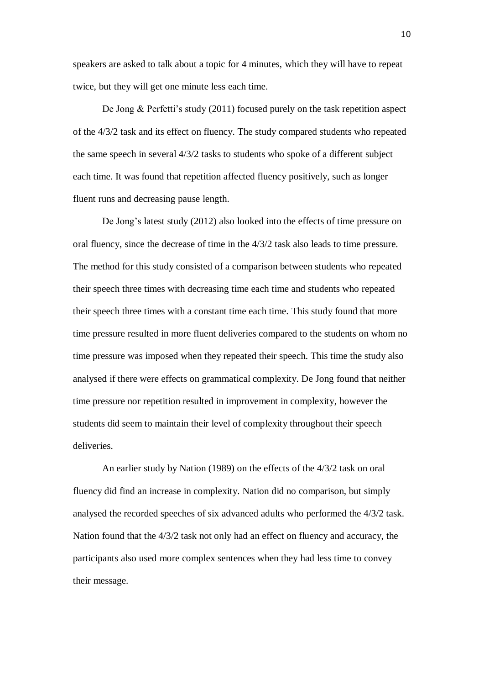speakers are asked to talk about a topic for 4 minutes, which they will have to repeat twice, but they will get one minute less each time.

De Jong & Perfetti's study (2011) focused purely on the task repetition aspect of the 4/3/2 task and its effect on fluency. The study compared students who repeated the same speech in several 4/3/2 tasks to students who spoke of a different subject each time. It was found that repetition affected fluency positively, such as longer fluent runs and decreasing pause length.

De Jong's latest study (2012) also looked into the effects of time pressure on oral fluency, since the decrease of time in the 4/3/2 task also leads to time pressure. The method for this study consisted of a comparison between students who repeated their speech three times with decreasing time each time and students who repeated their speech three times with a constant time each time. This study found that more time pressure resulted in more fluent deliveries compared to the students on whom no time pressure was imposed when they repeated their speech. This time the study also analysed if there were effects on grammatical complexity. De Jong found that neither time pressure nor repetition resulted in improvement in complexity, however the students did seem to maintain their level of complexity throughout their speech deliveries.

An earlier study by Nation (1989) on the effects of the 4/3/2 task on oral fluency did find an increase in complexity. Nation did no comparison, but simply analysed the recorded speeches of six advanced adults who performed the 4/3/2 task. Nation found that the 4/3/2 task not only had an effect on fluency and accuracy, the participants also used more complex sentences when they had less time to convey their message.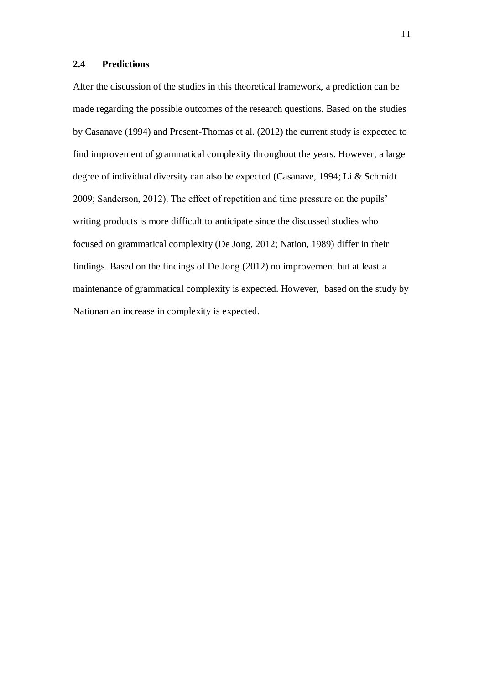#### **2.4 Predictions**

After the discussion of the studies in this theoretical framework, a prediction can be made regarding the possible outcomes of the research questions. Based on the studies by Casanave (1994) and Present-Thomas et al. (2012) the current study is expected to find improvement of grammatical complexity throughout the years. However, a large degree of individual diversity can also be expected (Casanave, 1994; Li & Schmidt 2009; Sanderson, 2012). The effect of repetition and time pressure on the pupils' writing products is more difficult to anticipate since the discussed studies who focused on grammatical complexity (De Jong, 2012; Nation, 1989) differ in their findings. Based on the findings of De Jong (2012) no improvement but at least a maintenance of grammatical complexity is expected. However, based on the study by Nationan an increase in complexity is expected.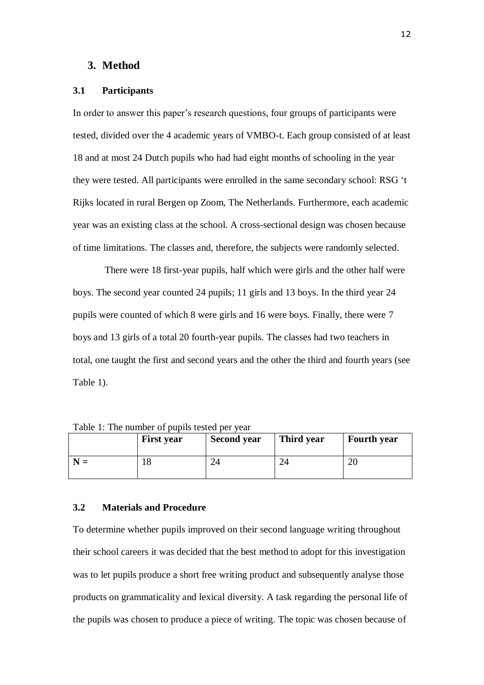#### **3. Method**

#### **3.1 Participants**

In order to answer this paper's research questions, four groups of participants were tested, divided over the 4 academic years of VMBO-t. Each group consisted of at least 18 and at most 24 Dutch pupils who had had eight months of schooling in the year they were tested. All participants were enrolled in the same secondary school: RSG 't Rijks located in rural Bergen op Zoom, The Netherlands. Furthermore, each academic year was an existing class at the school. A cross-sectional design was chosen because of time limitations. The classes and, therefore, the subjects were randomly selected.

There were 18 first-year pupils, half which were girls and the other half were boys. The second year counted 24 pupils; 11 girls and 13 boys. In the third year 24 pupils were counted of which 8 were girls and 16 were boys. Finally, there were 7 boys and 13 girls of a total 20 fourth-year pupils. The classes had two teachers in total, one taught the first and second years and the other the third and fourth years (see Table 1).

|               | <b>First year</b> | <b>Second year</b> | Third year | <b>Fourth</b> year |
|---------------|-------------------|--------------------|------------|--------------------|
| ${\bf N}$ $=$ |                   |                    |            | ∠∪                 |

Table 1: The number of pupils tested per year

#### **3.2 Materials and Procedure**

To determine whether pupils improved on their second language writing throughout their school careers it was decided that the best method to adopt for this investigation was to let pupils produce a short free writing product and subsequently analyse those products on grammaticality and lexical diversity. A task regarding the personal life of the pupils was chosen to produce a piece of writing. The topic was chosen because of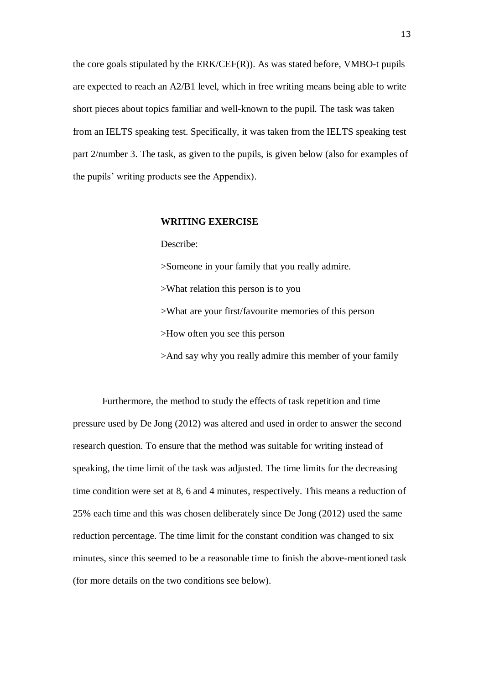the core goals stipulated by the ERK/CEF(R)). As was stated before, VMBO-t pupils are expected to reach an A2/B1 level, which in free writing means being able to write short pieces about topics familiar and well-known to the pupil. The task was taken from an IELTS speaking test. Specifically, it was taken from the IELTS speaking test part 2/number 3. The task, as given to the pupils, is given below (also for examples of the pupils' writing products see the Appendix).

#### **WRITING EXERCISE**

Describe:

>Someone in your family that you really admire.

>What relation this person is to you

>What are your first/favourite memories of this person

>How often you see this person

>And say why you really admire this member of your family

Furthermore, the method to study the effects of task repetition and time pressure used by De Jong (2012) was altered and used in order to answer the second research question. To ensure that the method was suitable for writing instead of speaking, the time limit of the task was adjusted. The time limits for the decreasing time condition were set at 8, 6 and 4 minutes, respectively. This means a reduction of 25% each time and this was chosen deliberately since De Jong (2012) used the same reduction percentage. The time limit for the constant condition was changed to six minutes, since this seemed to be a reasonable time to finish the above-mentioned task (for more details on the two conditions see below).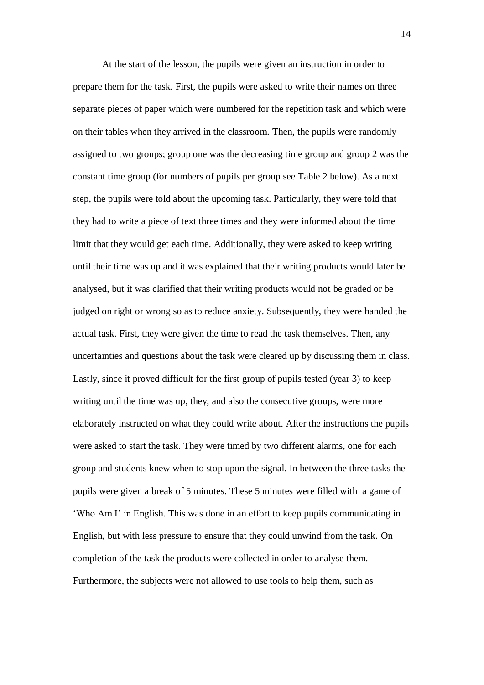At the start of the lesson, the pupils were given an instruction in order to prepare them for the task. First, the pupils were asked to write their names on three separate pieces of paper which were numbered for the repetition task and which were on their tables when they arrived in the classroom. Then, the pupils were randomly assigned to two groups; group one was the decreasing time group and group 2 was the constant time group (for numbers of pupils per group see Table 2 below). As a next step, the pupils were told about the upcoming task. Particularly, they were told that they had to write a piece of text three times and they were informed about the time limit that they would get each time. Additionally, they were asked to keep writing until their time was up and it was explained that their writing products would later be analysed, but it was clarified that their writing products would not be graded or be judged on right or wrong so as to reduce anxiety. Subsequently, they were handed the actual task. First, they were given the time to read the task themselves. Then, any uncertainties and questions about the task were cleared up by discussing them in class. Lastly, since it proved difficult for the first group of pupils tested (year 3) to keep writing until the time was up, they, and also the consecutive groups, were more elaborately instructed on what they could write about. After the instructions the pupils were asked to start the task. They were timed by two different alarms, one for each group and students knew when to stop upon the signal. In between the three tasks the pupils were given a break of 5 minutes. These 5 minutes were filled with a game of 'Who Am I' in English. This was done in an effort to keep pupils communicating in English, but with less pressure to ensure that they could unwind from the task. On completion of the task the products were collected in order to analyse them. Furthermore, the subjects were not allowed to use tools to help them, such as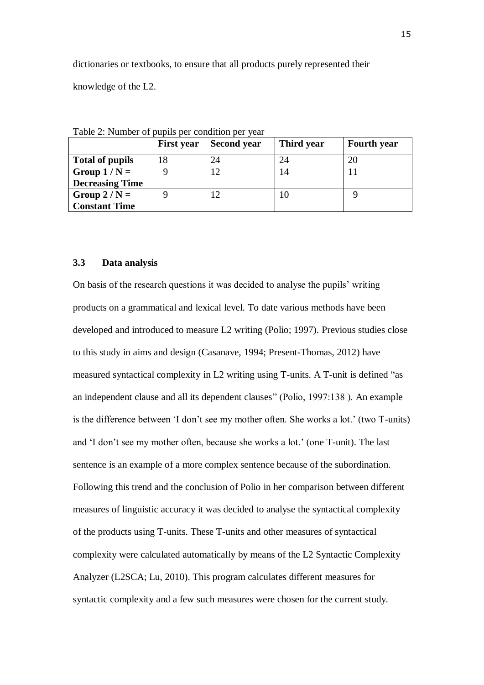dictionaries or textbooks, to ensure that all products purely represented their knowledge of the L2.

|                        | <b>First year</b> | <b>Second year</b> | Third year | <b>Fourth year</b> |
|------------------------|-------------------|--------------------|------------|--------------------|
| <b>Total of pupils</b> | 18                | 24                 | 24         | 20                 |
| Group $1/N =$          |                   | 12                 | 14         |                    |
| <b>Decreasing Time</b> |                   |                    |            |                    |
| Group $2/N =$          |                   | 12                 | 10         |                    |
| <b>Constant Time</b>   |                   |                    |            |                    |

Table 2: Number of pupils per condition per year

#### **3.3 Data analysis**

On basis of the research questions it was decided to analyse the pupils' writing products on a grammatical and lexical level. To date various methods have been developed and introduced to measure L2 writing (Polio; 1997). Previous studies close to this study in aims and design (Casanave, 1994; Present-Thomas, 2012) have measured syntactical complexity in L2 writing using T-units. A T-unit is defined "as an independent clause and all its dependent clauses" (Polio, 1997:138 ). An example is the difference between 'I don't see my mother often. She works a lot.' (two T-units) and 'I don't see my mother often, because she works a lot.' (one T-unit). The last sentence is an example of a more complex sentence because of the subordination. Following this trend and the conclusion of Polio in her comparison between different measures of linguistic accuracy it was decided to analyse the syntactical complexity of the products using T-units. These T-units and other measures of syntactical complexity were calculated automatically by means of the L2 Syntactic Complexity Analyzer (L2SCA; Lu, 2010). This program calculates different measures for syntactic complexity and a few such measures were chosen for the current study.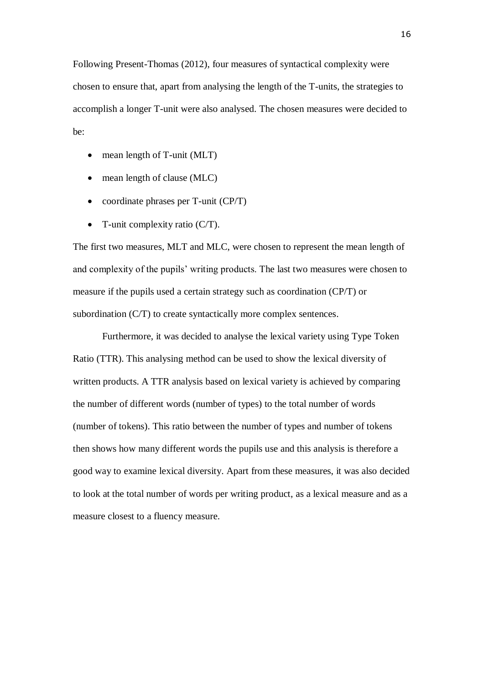Following Present-Thomas (2012), four measures of syntactical complexity were chosen to ensure that, apart from analysing the length of the T-units, the strategies to accomplish a longer T-unit were also analysed. The chosen measures were decided to be:

- mean length of T-unit (MLT)
- mean length of clause (MLC)
- coordinate phrases per T-unit (CP/T)
- T-unit complexity ratio (C/T).

The first two measures, MLT and MLC, were chosen to represent the mean length of and complexity of the pupils' writing products. The last two measures were chosen to measure if the pupils used a certain strategy such as coordination (CP/T) or subordination (C/T) to create syntactically more complex sentences.

Furthermore, it was decided to analyse the lexical variety using Type Token Ratio (TTR). This analysing method can be used to show the lexical diversity of written products. A TTR analysis based on lexical variety is achieved by comparing the number of different words (number of types) to the total number of words (number of tokens). This ratio between the number of types and number of tokens then shows how many different words the pupils use and this analysis is therefore a good way to examine lexical diversity. Apart from these measures, it was also decided to look at the total number of words per writing product, as a lexical measure and as a measure closest to a fluency measure.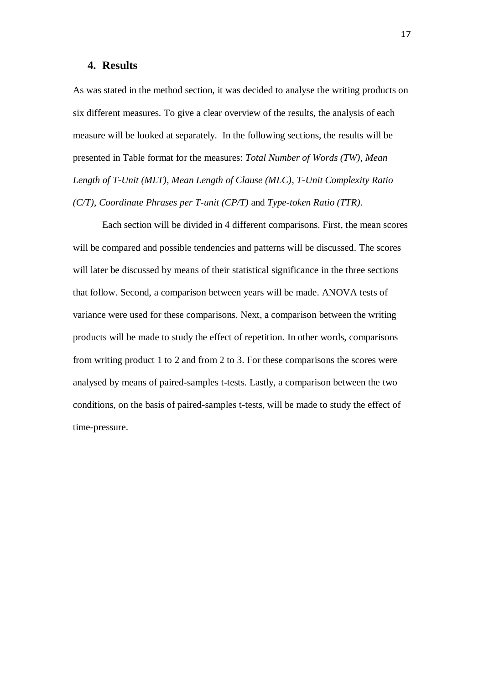#### **4. Results**

As was stated in the method section, it was decided to analyse the writing products on six different measures. To give a clear overview of the results, the analysis of each measure will be looked at separately. In the following sections, the results will be presented in Table format for the measures: *Total Number of Words (TW)*, *Mean Length of T-Unit (MLT)*, *Mean Length of Clause (MLC)*, *T-Unit Complexity Ratio (C/T)*, *Coordinate Phrases per T-unit (CP/T)* and *Type-token Ratio (TTR)*.

Each section will be divided in 4 different comparisons. First, the mean scores will be compared and possible tendencies and patterns will be discussed. The scores will later be discussed by means of their statistical significance in the three sections that follow. Second, a comparison between years will be made. ANOVA tests of variance were used for these comparisons. Next, a comparison between the writing products will be made to study the effect of repetition. In other words, comparisons from writing product 1 to 2 and from 2 to 3. For these comparisons the scores were analysed by means of paired-samples t-tests. Lastly, a comparison between the two conditions, on the basis of paired-samples t-tests, will be made to study the effect of time-pressure.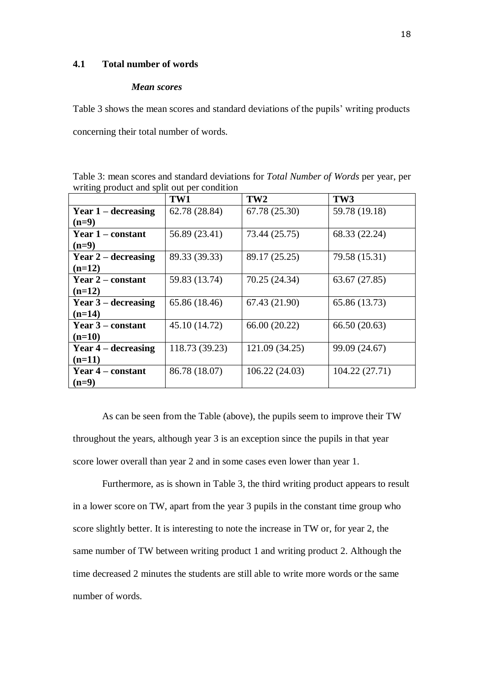#### **4.1 Total number of words**

#### *Mean scores*

Table 3 shows the mean scores and standard deviations of the pupils' writing products concerning their total number of words.

Table 3: mean scores and standard deviations for *Total Number of Words* per year, per writing product and split out per condition

|                          | TW1            | TW <sub>2</sub> | TW3            |
|--------------------------|----------------|-----------------|----------------|
| Year $1$ – decreasing    | 62.78 (28.84)  | 67.78 (25.30)   | 59.78 (19.18)  |
| $(n=9)$                  |                |                 |                |
| Year 1 – constant        | 56.89 (23.41)  | 73.44 (25.75)   | 68.33 (22.24)  |
| $(n=9)$                  |                |                 |                |
| Year $2$ – decreasing    | 89.33 (39.33)  | 89.17 (25.25)   | 79.58 (15.31)  |
| $(n=12)$                 |                |                 |                |
| <b>Year 2 – constant</b> | 59.83 (13.74)  | 70.25 (24.34)   | 63.67 (27.85)  |
| $(n=12)$                 |                |                 |                |
| Year $3$ – decreasing    | 65.86 (18.46)  | 67.43 (21.90)   | 65.86 (13.73)  |
| $(n=14)$                 |                |                 |                |
| Year 3 – constant        | 45.10 (14.72)  | 66.00 (20.22)   | 66.50 (20.63)  |
| $(n=10)$                 |                |                 |                |
| Year $4$ – decreasing    | 118.73 (39.23) | 121.09 (34.25)  | 99.09 (24.67)  |
| $(n=11)$                 |                |                 |                |
| Year 4 – constant        | 86.78 (18.07)  | 106.22(24.03)   | 104.22 (27.71) |
| $(n=9)$                  |                |                 |                |

As can be seen from the Table (above), the pupils seem to improve their TW throughout the years, although year 3 is an exception since the pupils in that year score lower overall than year 2 and in some cases even lower than year 1.

Furthermore, as is shown in Table 3, the third writing product appears to result in a lower score on TW, apart from the year 3 pupils in the constant time group who score slightly better. It is interesting to note the increase in TW or, for year 2, the same number of TW between writing product 1 and writing product 2. Although the time decreased 2 minutes the students are still able to write more words or the same number of words.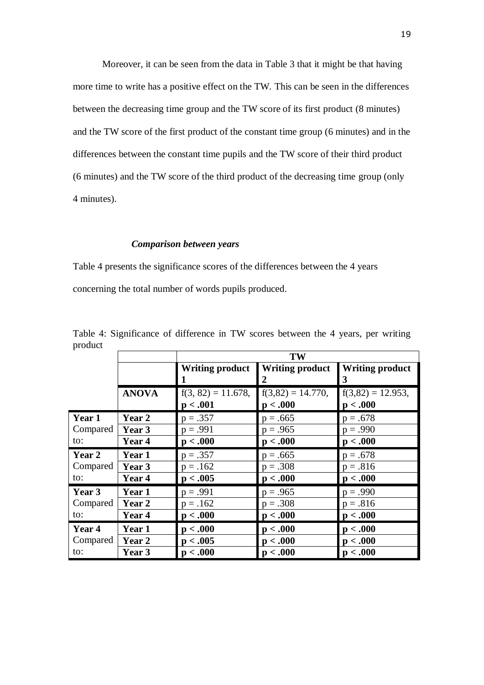Moreover, it can be seen from the data in Table 3 that it might be that having more time to write has a positive effect on the TW. This can be seen in the differences between the decreasing time group and the TW score of its first product (8 minutes) and the TW score of the first product of the constant time group (6 minutes) and in the differences between the constant time pupils and the TW score of their third product (6 minutes) and the TW score of the third product of the decreasing time group (only 4 minutes).

#### *Comparison between years*

Table 4 presents the significance scores of the differences between the 4 years concerning the total number of words pupils produced.

|          |              | TW                                |                                 |                                 |  |  |
|----------|--------------|-----------------------------------|---------------------------------|---------------------------------|--|--|
|          |              | <b>Writing product</b>            | <b>Writing product</b>          | <b>Writing product</b><br>3     |  |  |
|          | <b>ANOVA</b> | $f(3, 82) = 11.678$ ,<br>p < .001 | $f(3,82) = 14.770,$<br>p < .000 | $f(3,82) = 12.953,$<br>p < .000 |  |  |
| Year 1   | Year 2       | $p = .357$                        | $p = .665$                      | $p = .678$                      |  |  |
| Compared | Year 3       | $p = .991$                        | $p = .965$                      | $p = .990$                      |  |  |
| to:      | Year 4       | p < .000                          | p < .000                        | p < .000                        |  |  |
| Year 2   | Year 1       | $p = .357$                        | $p = .665$                      | $p = .678$                      |  |  |
| Compared | Year 3       | $p = .162$                        | $p = .308$                      | $p = .816$                      |  |  |
| to:      | Year 4       | p < .005                          | p < .000                        | p < .000                        |  |  |
| Year 3   | Year 1       | $p = .991$                        | $p = .965$                      | $p = .990$                      |  |  |
| Compared | Year 2       | $p = .162$                        | $p = .308$                      | $p = .816$                      |  |  |
| to:      | Year 4       | p < .000                          | p < .000                        | p < .000                        |  |  |
| Year 4   | Year 1       | p < .000                          | p < .000                        | p < .000                        |  |  |
| Compared | Year 2       | p < .005                          | p < .000                        | p < .000                        |  |  |
| to:      | Year 3       | p < .000                          | p < .000                        | p < .000                        |  |  |

Table 4: Significance of difference in TW scores between the 4 years, per writing product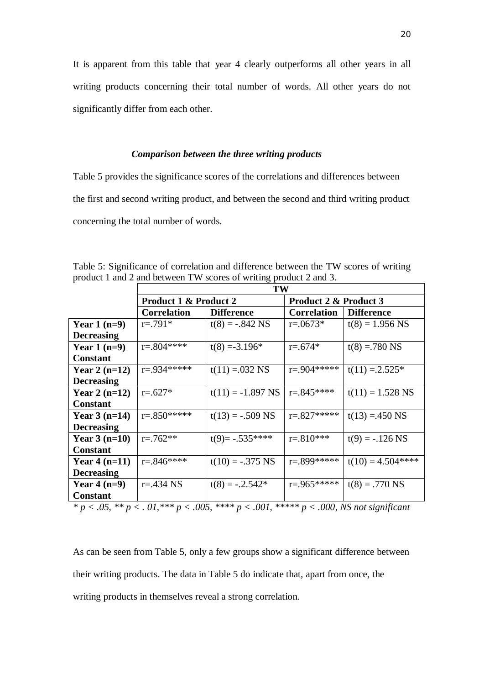It is apparent from this table that year 4 clearly outperforms all other years in all writing products concerning their total number of words. All other years do not significantly differ from each other.

#### *Comparison between the three writing products*

Table 5 provides the significance scores of the correlations and differences between the first and second writing product, and between the second and third writing product concerning the total number of words.

|                   | <b>TW</b>                        |                     |                       |                      |  |
|-------------------|----------------------------------|---------------------|-----------------------|----------------------|--|
|                   | <b>Product 1 &amp; Product 2</b> |                     | Product 2 & Product 3 |                      |  |
|                   | <b>Correlation</b>               | <b>Difference</b>   | <b>Correlation</b>    | <b>Difference</b>    |  |
| Year $1(n=9)$     | $r = 791*$                       | $t(8) = -.842$ NS   | $r = 0.0673*$         | $t(8) = 1.956$ NS    |  |
| <b>Decreasing</b> |                                  |                     |                       |                      |  |
| Year $1(n=9)$     | $r = 804$ ****                   | $t(8) = -3.196*$    | $r = .674*$           | $t(8) = 780$ NS      |  |
| <b>Constant</b>   |                                  |                     |                       |                      |  |
| Year 2 $(n=12)$   | $r = .934*****$                  | $t(11) = 032$ NS    | $r = 904*****$        | $t(11) = 2.525*$     |  |
| <b>Decreasing</b> |                                  |                     |                       |                      |  |
| Year 2 $(n=12)$   | $r = .627*$                      | $t(11) = -1.897$ NS | $r = 845***$          | $t(11) = 1.528$ NS   |  |
| <b>Constant</b>   |                                  |                     |                       |                      |  |
| Year $3(n=14)$    | $r = 850***$                     | $t(13) = -.509$ NS  | $r = 827***$          | $t(13) = 450$ NS     |  |
| <b>Decreasing</b> |                                  |                     |                       |                      |  |
| Year $3(n=10)$    | $r = 762**$                      | $t(9) = -.535***$   | $r = 810***$          | $t(9) = -.126$ NS    |  |
| <b>Constant</b>   |                                  |                     |                       |                      |  |
| Year $4(n=11)$    | $r = 846$ ****                   | $t(10) = -.375$ NS  | $r = 899$ *****       | $t(10) = 4.504$ **** |  |
| <b>Decreasing</b> |                                  |                     |                       |                      |  |
| Year $4(n=9)$     | $r = 434$ NS                     | $t(8) = -.2.542*$   | $r = 965*****$        | $t(8) = .770$ NS     |  |
| <b>Constant</b>   |                                  |                     |                       |                      |  |

Table 5: Significance of correlation and difference between the TW scores of writing product 1 and 2 and between TW scores of writing product 2 and 3.

*\* p < .05, \*\* p < . 01,\*\*\* p < .005, \*\*\*\* p < .001, \*\*\*\*\* p < .000, NS not significant*

As can be seen from Table 5, only a few groups show a significant difference between their writing products. The data in Table 5 do indicate that, apart from once, the writing products in themselves reveal a strong correlation.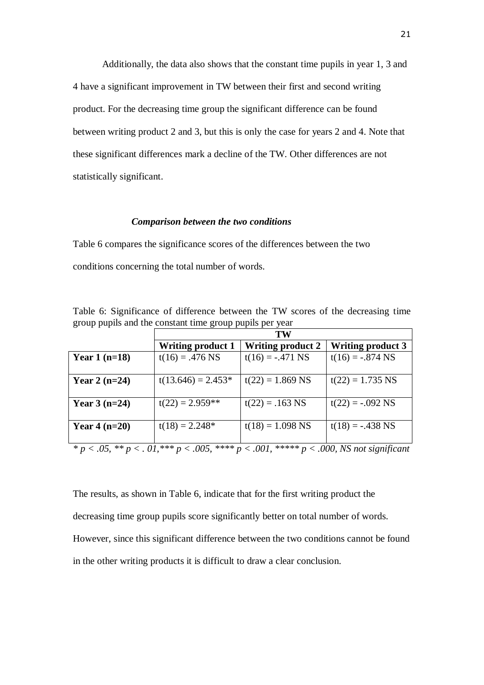Additionally, the data also shows that the constant time pupils in year 1, 3 and 4 have a significant improvement in TW between their first and second writing product. For the decreasing time group the significant difference can be found between writing product 2 and 3, but this is only the case for years 2 and 4. Note that these significant differences mark a decline of the TW. Other differences are not statistically significant.

#### *Comparison between the two conditions*

Table 6 compares the significance scores of the differences between the two conditions concerning the total number of words.

Table 6: Significance of difference between the TW scores of the decreasing time group pupils and the constant time group pupils per year

|                 | TW                       |                                                                                                                                                                |                          |  |  |
|-----------------|--------------------------|----------------------------------------------------------------------------------------------------------------------------------------------------------------|--------------------------|--|--|
|                 | <b>Writing product 1</b> | <b>Writing product 2</b>                                                                                                                                       | <b>Writing product 3</b> |  |  |
| Year $1(n=18)$  | $t(16) = .476$ NS        | $t(16) = -.471$ NS                                                                                                                                             | $t(16) = -.874$ NS       |  |  |
|                 |                          |                                                                                                                                                                |                          |  |  |
| Year 2 $(n=24)$ | $t(13.646) = 2.453*$     | $t(22) = 1.869$ NS                                                                                                                                             | $t(22) = 1.735$ NS       |  |  |
| Year $3(n=24)$  | $t(22) = 2.959**$        | $t(22) = .163$ NS                                                                                                                                              | $t(22) = -.092$ NS       |  |  |
| Year $4(n=20)$  | $t(18) = 2.248*$         | $t(18) = 1.098$ NS                                                                                                                                             | $t(18) = -.438$ NS       |  |  |
|                 |                          | $* \rightarrow 05$ $* \rightarrow 01$ $* \times \rightarrow 005$ $* \times \times \rightarrow 001$ $* \times \times \times \rightarrow 000$ MS not significant |                          |  |  |

*\* p < .05, \*\* p < . 01,\*\*\* p < .005, \*\*\*\* p < .001, \*\*\*\*\* p < .000, NS not significant*

The results, as shown in Table 6, indicate that for the first writing product the decreasing time group pupils score significantly better on total number of words. However, since this significant difference between the two conditions cannot be found in the other writing products it is difficult to draw a clear conclusion.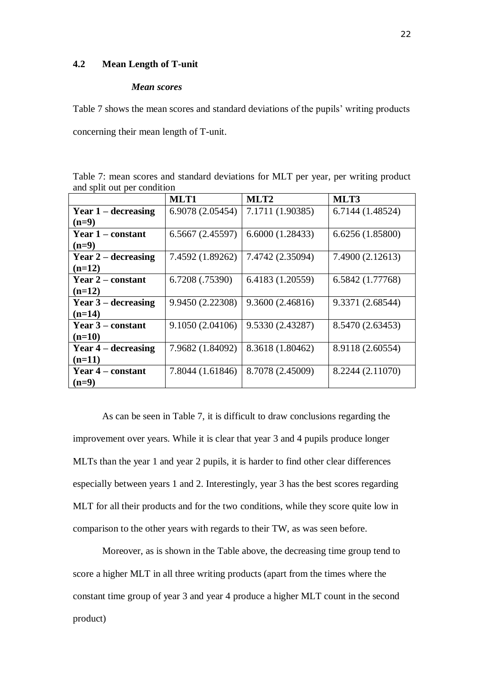#### **4.2 Mean Length of T-unit**

#### *Mean scores*

Table 7 shows the mean scores and standard deviations of the pupils' writing products concerning their mean length of T-unit.

Table 7: mean scores and standard deviations for MLT per year, per writing product and split out per condition

|                          | MLT1             | MLT <sub>2</sub> | MLT3             |
|--------------------------|------------------|------------------|------------------|
| Year $1$ – decreasing    | 6.9078 (2.05454) | 7.1711 (1.90385) | 6.7144 (1.48524) |
| $(n=9)$                  |                  |                  |                  |
| Year 1 – constant        | 6.5667(2.45597)  | 6.6000(1.28433)  | 6.6256 (1.85800) |
| $(n=9)$                  |                  |                  |                  |
| Year $2$ – decreasing    | 7.4592 (1.89262) | 7.4742 (2.35094) | 7.4900 (2.12613) |
| $(n=12)$                 |                  |                  |                  |
| <b>Year 2 – constant</b> | 6.7208 (.75390)  | 6.4183 (1.20559) | 6.5842 (1.77768) |
| $(n=12)$                 |                  |                  |                  |
| Year $3$ – decreasing    | 9.9450 (2.22308) | 9.3600(2.46816)  | 9.3371 (2.68544) |
| $(n=14)$                 |                  |                  |                  |
| Year 3 – constant        | 9.1050 (2.04106) | 9.5330 (2.43287) | 8.5470 (2.63453) |
| $(n=10)$                 |                  |                  |                  |
| Year $4$ – decreasing    | 7.9682 (1.84092) | 8.3618 (1.80462) | 8.9118 (2.60554) |
| $(n=11)$                 |                  |                  |                  |
| Year 4 – constant        | 7.8044 (1.61846) | 8.7078 (2.45009) | 8.2244 (2.11070) |
| $(n=9)$                  |                  |                  |                  |

As can be seen in Table 7, it is difficult to draw conclusions regarding the improvement over years. While it is clear that year 3 and 4 pupils produce longer MLTs than the year 1 and year 2 pupils, it is harder to find other clear differences especially between years 1 and 2. Interestingly, year 3 has the best scores regarding MLT for all their products and for the two conditions, while they score quite low in comparison to the other years with regards to their TW, as was seen before.

Moreover, as is shown in the Table above, the decreasing time group tend to score a higher MLT in all three writing products (apart from the times where the constant time group of year 3 and year 4 produce a higher MLT count in the second product)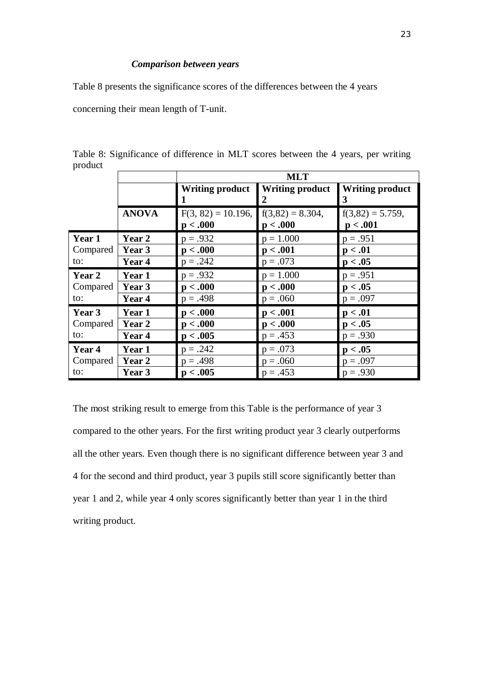#### *Comparison between years*

Table 8 presents the significance scores of the differences between the 4 years

concerning their mean length of T-unit.

|          |              | <b>MLT</b>                        |                                |                                 |  |  |  |
|----------|--------------|-----------------------------------|--------------------------------|---------------------------------|--|--|--|
|          |              | <b>Writing product</b>            | <b>Writing product</b><br>2    | <b>Writing product</b><br>3     |  |  |  |
|          | <b>ANOVA</b> | $F(3, 82) = 10.196$ ,<br>p < .000 | $f(3,82) = 8.304,$<br>p < .000 | $f(3,82) = 5.759$ ,<br>p < .001 |  |  |  |
| Year 1   | Year 2       | $p = .932$                        | $p = 1.000$                    | $p = .951$                      |  |  |  |
| Compared | Year 3       | p < .000                          | p < .001                       | p < .01                         |  |  |  |
| to:      | Year 4       | $p = .242$                        | $p = .073$                     | p < .05                         |  |  |  |
| Year 2   | Year 1       | $p = .932$                        | $p = 1.000$                    | $p = .951$                      |  |  |  |
| Compared | Year 3       | p < .000                          | p < .000                       | p < .05                         |  |  |  |
| to:      | Year 4       | $p = .498$                        | $p = .060$                     | $p = .097$                      |  |  |  |
| Year 3   | Year 1       | p < .000                          | p < .001                       | p < .01                         |  |  |  |
| Compared | Year 2       | p < .000                          | p < .000                       | p < .05                         |  |  |  |
| to:      | Year 4       | p < .005                          | $p = .453$                     | $p = .930$                      |  |  |  |
| Year 4   | Year 1       | $p = .242$                        | $p = .073$                     | p < .05                         |  |  |  |
| Compared | Year 2       | $p = .498$                        | $p = .060$                     | $p = .097$                      |  |  |  |
| to:      | Year 3       | p < .005                          | $p = .453$                     | $p = .930$                      |  |  |  |

Table 8: Significance of difference in MLT scores between the 4 years, per writing product

The most striking result to emerge from this Table is the performance of year 3 compared to the other years. For the first writing product year 3 clearly outperforms all the other years. Even though there is no significant difference between year 3 and 4 for the second and third product, year 3 pupils still score significantly better than year 1 and 2, while year 4 only scores significantly better than year 1 in the third writing product.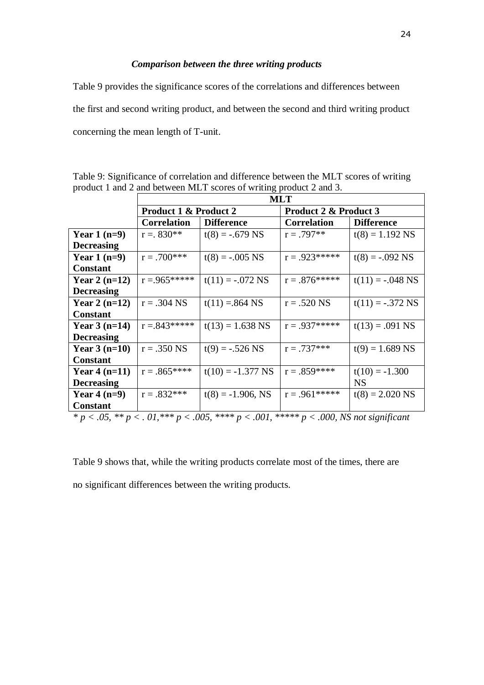#### *Comparison between the three writing products*

Table 9 provides the significance scores of the correlations and differences between the first and second writing product, and between the second and third writing product concerning the mean length of T-unit.

|                   | <b>MLT</b>                            |                                    |                                  |                    |  |
|-------------------|---------------------------------------|------------------------------------|----------------------------------|--------------------|--|
|                   | <b>Product 1 &amp; Product 2</b>      |                                    | <b>Product 2 &amp; Product 3</b> |                    |  |
|                   | <b>Correlation</b>                    | <b>Difference</b>                  | <b>Correlation</b>               | <b>Difference</b>  |  |
| Year $1(n=9)$     | $r = 830**$                           | $t(8) = -.679$ NS                  | $r = .797**$                     | $t(8) = 1.192$ NS  |  |
| <b>Decreasing</b> |                                       |                                    |                                  |                    |  |
| Year $1(n=9)$     | $r = .700$ ***                        | $t(8) = -.005$ NS                  | $r = .923*****$                  | $t(8) = -.092$ NS  |  |
| <b>Constant</b>   |                                       |                                    |                                  |                    |  |
| Year 2 $(n=12)$   | $r = 965*****$                        | $t(11) = -.072$ NS                 | $r = .876*****$                  | $t(11) = -.048$ NS |  |
| <b>Decreasing</b> |                                       |                                    |                                  |                    |  |
| Year 2 $(n=12)$   | $r = .304$ NS                         | $t(11) = 864$ NS                   | $r = .520$ NS                    | $t(11) = -.372$ NS |  |
| <b>Constant</b>   |                                       |                                    |                                  |                    |  |
| Year $3(n=14)$    | $r = 843*****$                        | $t(13) = 1.638$ NS                 | $r = .937*****$                  | $t(13) = .091$ NS  |  |
| <b>Decreasing</b> |                                       |                                    |                                  |                    |  |
| Year $3(n=10)$    | $r = .350$ NS                         | $t(9) = -.526$ NS                  | $r = .737***$                    | $t(9) = 1.689$ NS  |  |
| <b>Constant</b>   |                                       |                                    |                                  |                    |  |
| Year $4(n=11)$    | $r = .865***$                         | $t(10) = -1.377$ NS                | $r = .859***$                    | $t(10) = -1.300$   |  |
| <b>Decreasing</b> |                                       |                                    |                                  | <b>NS</b>          |  |
| Year $4(n=9)$     | $r = .832***$                         | $t(8) = -1.906$ , NS               | $r = .961*****$                  | $t(8) = 2.020$ NS  |  |
| <b>Constant</b>   |                                       |                                    |                                  |                    |  |
|                   | $\bigcap$ $\mathcal{I}$ and $\bigcap$ | $0.0.1$ deducted to $\overline{1}$ | $0.00$ $\overline{10}$           |                    |  |

Table 9: Significance of correlation and difference between the MLT scores of writing product 1 and 2 and between MLT scores of writing product 2 and 3.

*\* p < .05, \*\* p < . 01,\*\*\* p < .005, \*\*\*\* p < .001, \*\*\*\*\* p < .000, NS not significant*

Table 9 shows that, while the writing products correlate most of the times, there are no significant differences between the writing products.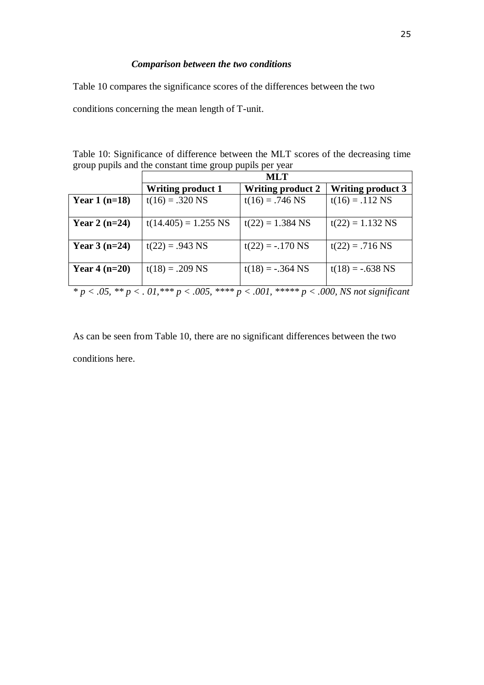## *Comparison between the two conditions*

Table 10 compares the significance scores of the differences between the two

conditions concerning the mean length of T-unit.

| Table 10: Significance of difference between the MLT scores of the decreasing time |  |  |  |  |
|------------------------------------------------------------------------------------|--|--|--|--|
| group pupils and the constant time group pupils per year                           |  |  |  |  |

|                 | <b>MLT</b>                                                                                                 |                          |                          |  |  |
|-----------------|------------------------------------------------------------------------------------------------------------|--------------------------|--------------------------|--|--|
|                 | <b>Writing product 1</b>                                                                                   | <b>Writing product 2</b> | <b>Writing product 3</b> |  |  |
| Year $1(n=18)$  | $t(16) = .320$ NS                                                                                          | $t(16) = .746$ NS        | $t(16) = .112$ NS        |  |  |
|                 |                                                                                                            |                          |                          |  |  |
| Year 2 $(n=24)$ | $t(14.405) = 1.255$ NS                                                                                     | $t(22) = 1.384$ NS       | $t(22) = 1.132$ NS       |  |  |
|                 |                                                                                                            |                          |                          |  |  |
| Year $3(n=24)$  | $t(22) = .943$ NS                                                                                          | $t(22) = -.170$ NS       | $t(22) = .716$ NS        |  |  |
|                 |                                                                                                            |                          |                          |  |  |
| Year $4(n=20)$  | $t(18) = .209$ NS                                                                                          | $t(18) = -.364$ NS       | $t(18) = -.638$ NS       |  |  |
|                 |                                                                                                            |                          |                          |  |  |
|                 | $p^* p < 0.05$ , $p^* p < 0.01$ , $p^* p < 0.005$ , $p^* p < 0.001$ , $p^* p < 0.000$ , NS not significant |                          |                          |  |  |

As can be seen from Table 10, there are no significant differences between the two conditions here.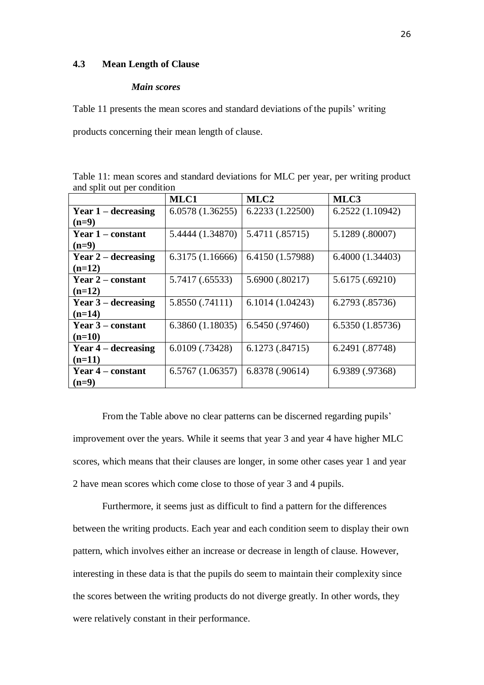#### **4.3 Mean Length of Clause**

#### *Main scores*

Table 11 presents the mean scores and standard deviations of the pupils' writing

products concerning their mean length of clause.

Table 11: mean scores and standard deviations for MLC per year, per writing product and split out per condition

|                       | MLC1             | MLC <sub>2</sub> | MLC3             |
|-----------------------|------------------|------------------|------------------|
| Year $1$ – decreasing | 6.0578(1.36255)  | 6.2233(1.22500)  | 6.2522(1.10942)  |
| $(n=9)$               |                  |                  |                  |
| Year 1 – constant     | 5.4444 (1.34870) | 5.4711 (.85715)  | 5.1289 (.80007)  |
| $(n=9)$               |                  |                  |                  |
| Year $2$ – decreasing | 6.3175 (1.16666) | 6.4150 (1.57988) | 6.4000 (1.34403) |
| $(n=12)$              |                  |                  |                  |
| Year $2$ – constant   | 5.7417 (.65533)  | 5.6900 (.80217)  | 5.6175 (.69210)  |
| $(n=12)$              |                  |                  |                  |
| Year $3$ – decreasing | 5.8550 (.74111)  | 6.1014(1.04243)  | 6.2793 (.85736)  |
| $(n=14)$              |                  |                  |                  |
| Year 3 – constant     | 6.3860(1.18035)  | 6.5450(.97460)   | 6.5350 (1.85736) |
| $(n=10)$              |                  |                  |                  |
| Year $4$ – decreasing | 6.0109 (.73428)  | 6.1273(.84715)   | 6.2491 (.87748)  |
| $(n=11)$              |                  |                  |                  |
| Year 4 – constant     | 6.5767(1.06357)  | 6.8378 (.90614)  | 6.9389 (.97368)  |
| $(n=9)$               |                  |                  |                  |

From the Table above no clear patterns can be discerned regarding pupils' improvement over the years. While it seems that year 3 and year 4 have higher MLC scores, which means that their clauses are longer, in some other cases year 1 and year 2 have mean scores which come close to those of year 3 and 4 pupils.

Furthermore, it seems just as difficult to find a pattern for the differences between the writing products. Each year and each condition seem to display their own pattern, which involves either an increase or decrease in length of clause. However, interesting in these data is that the pupils do seem to maintain their complexity since the scores between the writing products do not diverge greatly. In other words, they were relatively constant in their performance.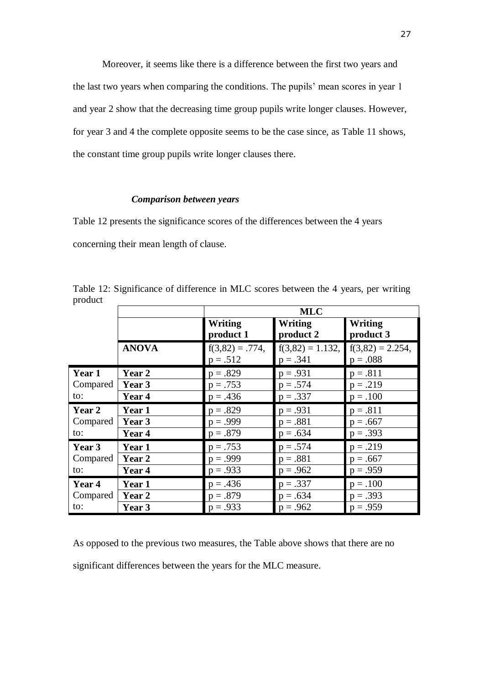Moreover, it seems like there is a difference between the first two years and the last two years when comparing the conditions. The pupils' mean scores in year 1 and year 2 show that the decreasing time group pupils write longer clauses. However, for year 3 and 4 the complete opposite seems to be the case since, as Table 11 shows, the constant time group pupils write longer clauses there.

#### *Comparison between years*

Table 12 presents the significance scores of the differences between the 4 years concerning their mean length of clause.

Table 12: Significance of difference in MLC scores between the 4 years, per writing product

|               |              | <b>MLC</b>                      |                                   |                                   |  |  |
|---------------|--------------|---------------------------------|-----------------------------------|-----------------------------------|--|--|
|               |              | <b>Writing</b><br>product 1     | Writing<br>product 2              | <b>Writing</b><br>product 3       |  |  |
|               | <b>ANOVA</b> | $f(3,82) = .774,$<br>$p = .512$ | $f(3,82) = 1.132$ ,<br>$p = .341$ | $f(3,82) = 2.254$ ,<br>$p = .088$ |  |  |
| Year 1        | Year 2       | $p = .829$                      | $p = .931$                        | $p = .811$                        |  |  |
| Compared      | Year 3       | $p = .753$                      | $p = .574$                        | $p = .219$                        |  |  |
| to:           | Year 4       | $p = .436$                      | $p = .337$                        | $p = .100$                        |  |  |
| <b>Year 2</b> | Year 1       | $p = .829$                      | $p = .931$                        | $p = .811$                        |  |  |
| Compared      | Year 3       | $p = .999$                      | $p=.881$                          | $p = .667$                        |  |  |
| to:           | Year 4       | $p = .879$                      | $p = .634$                        | $p = .393$                        |  |  |
| Year 3        | Year 1       | $p = .753$                      | $p = .574$                        | $p = .219$                        |  |  |
| Compared      | Year 2       | $p = .999$                      | $p=.881$                          | $p = .667$                        |  |  |
| to:           | Year 4       | $p = .933$                      | $p = .962$                        | $p = .959$                        |  |  |
| Year 4        | Year 1       | $p = .436$                      | $p = .337$                        | $p = .100$                        |  |  |
| Compared      | Year 2       | $p = .879$                      | $p = .634$                        | $p = .393$                        |  |  |
| to:           | Year 3       | $p = .933$                      | $p = .962$                        | $p = .959$                        |  |  |

As opposed to the previous two measures, the Table above shows that there are no significant differences between the years for the MLC measure.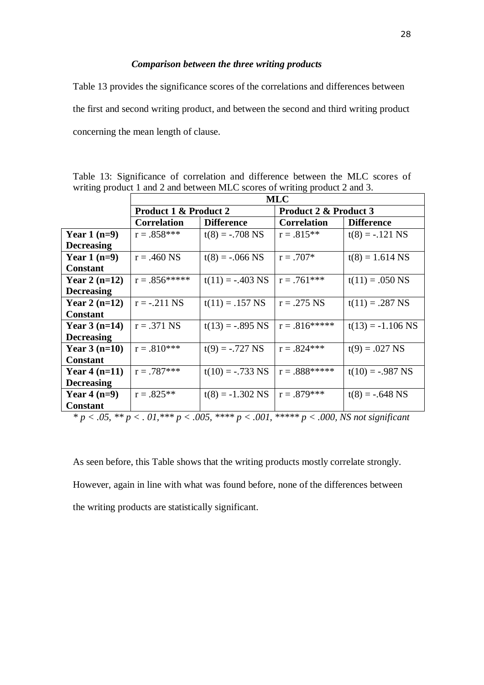#### *Comparison between the three writing products*

Table 13 provides the significance scores of the correlations and differences between the first and second writing product, and between the second and third writing product concerning the mean length of clause.

|                   | <b>MLC</b>                       |                                                                                                       |                       |                     |  |  |
|-------------------|----------------------------------|-------------------------------------------------------------------------------------------------------|-----------------------|---------------------|--|--|
|                   | <b>Product 1 &amp; Product 2</b> |                                                                                                       | Product 2 & Product 3 |                     |  |  |
|                   | <b>Correlation</b>               | <b>Difference</b>                                                                                     | <b>Correlation</b>    | <b>Difference</b>   |  |  |
| Year $1(n=9)$     | $r = .858***$                    | $t(8) = -.708$ NS                                                                                     | $r = .815**$          | $t(8) = -.121$ NS   |  |  |
| <b>Decreasing</b> |                                  |                                                                                                       |                       |                     |  |  |
| Year $1(n=9)$     | $r = .460$ NS                    | $t(8) = -.066$ NS                                                                                     | $r = .707*$           | $t(8) = 1.614$ NS   |  |  |
| <b>Constant</b>   |                                  |                                                                                                       |                       |                     |  |  |
| Year 2 $(n=12)$   | $r = .856*****$                  | $t(11) = -.403$ NS                                                                                    | $r = .761***$         | $t(11) = .050$ NS   |  |  |
| <b>Decreasing</b> |                                  |                                                                                                       |                       |                     |  |  |
| Year 2 $(n=12)$   | $r = -.211$ NS                   | $t(11) = .157$ NS                                                                                     | $r = .275$ NS         | $t(11) = .287$ NS   |  |  |
| <b>Constant</b>   |                                  |                                                                                                       |                       |                     |  |  |
| Year $3(n=14)$    | $r = .371$ NS                    | $t(13) = -.895$ NS                                                                                    | $r = .816*****$       | $t(13) = -1.106$ NS |  |  |
| <b>Decreasing</b> |                                  |                                                                                                       |                       |                     |  |  |
| Year $3(n=10)$    | $r = .810***$                    | $t(9) = -.727$ NS                                                                                     | $r = .824***$         | $t(9) = .027$ NS    |  |  |
| <b>Constant</b>   |                                  |                                                                                                       |                       |                     |  |  |
| Year $4(n=11)$    | $r = .787***$                    | $t(10) = -.733$ NS                                                                                    | $r = .888$ *****      | $t(10) = -.987$ NS  |  |  |
| <b>Decreasing</b> |                                  |                                                                                                       |                       |                     |  |  |
| Year $4(n=9)$     | $r = .825**$                     | $t(8) = -1.302$ NS                                                                                    | $r = .879***$         | $t(8) = -.648$ NS   |  |  |
| <b>Constant</b>   |                                  |                                                                                                       |                       |                     |  |  |
|                   |                                  | * $p < .05$ , ** $p < .01$ , *** $p < .005$ , **** $p < .001$ , ***** $p < .000$ , NS not significant |                       |                     |  |  |

Table 13: Significance of correlation and difference between the MLC scores of writing product 1 and 2 and between MLC scores of writing product 2 and 3.

As seen before, this Table shows that the writing products mostly correlate strongly. However, again in line with what was found before, none of the differences between the writing products are statistically significant.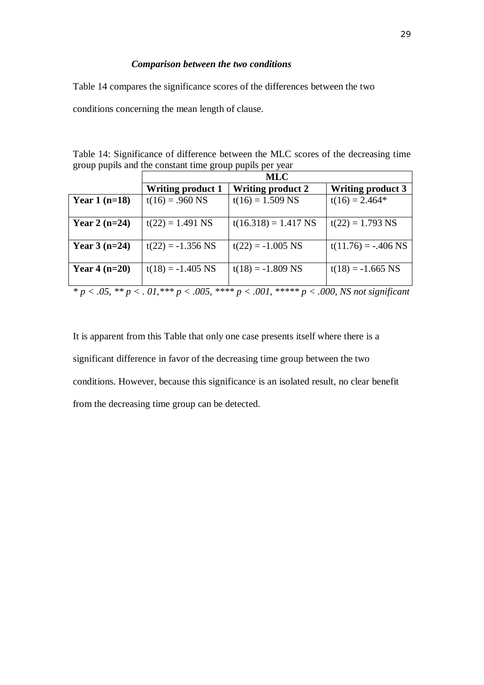#### *Comparison between the two conditions*

Table 14 compares the significance scores of the differences between the two

conditions concerning the mean length of clause.

| Table 14: Significance of difference between the MLC scores of the decreasing time |  |  |  |  |
|------------------------------------------------------------------------------------|--|--|--|--|
| group pupils and the constant time group pupils per year                           |  |  |  |  |

|                 | <b>MLC</b>               |                                                                                                       |                          |  |  |
|-----------------|--------------------------|-------------------------------------------------------------------------------------------------------|--------------------------|--|--|
|                 | <b>Writing product 1</b> | <b>Writing product 2</b>                                                                              | <b>Writing product 3</b> |  |  |
| Year $1(n=18)$  | $t(16) = .960$ NS        | $t(16) = 1.509$ NS                                                                                    | $t(16) = 2.464*$         |  |  |
|                 |                          |                                                                                                       |                          |  |  |
| Year 2 $(n=24)$ | $t(22) = 1.491$ NS       | $t(16.318) = 1.417$ NS                                                                                | $t(22) = 1.793$ NS       |  |  |
|                 |                          |                                                                                                       |                          |  |  |
| Year $3(n=24)$  | $t(22) = -1.356$ NS      | $t(22) = -1.005$ NS                                                                                   | $t(11.76) = -.406$ NS    |  |  |
|                 |                          |                                                                                                       |                          |  |  |
| Year $4(n=20)$  | $t(18) = -1.405$ NS      | $t(18) = -1.809$ NS                                                                                   | $t(18) = -1.665$ NS      |  |  |
|                 |                          |                                                                                                       |                          |  |  |
|                 |                          | * $p < .05$ , ** $p < .01$ , *** $p < .005$ , **** $p < .001$ , ***** $p < .000$ , NS not significant |                          |  |  |

It is apparent from this Table that only one case presents itself where there is a significant difference in favor of the decreasing time group between the two conditions. However, because this significance is an isolated result, no clear benefit from the decreasing time group can be detected.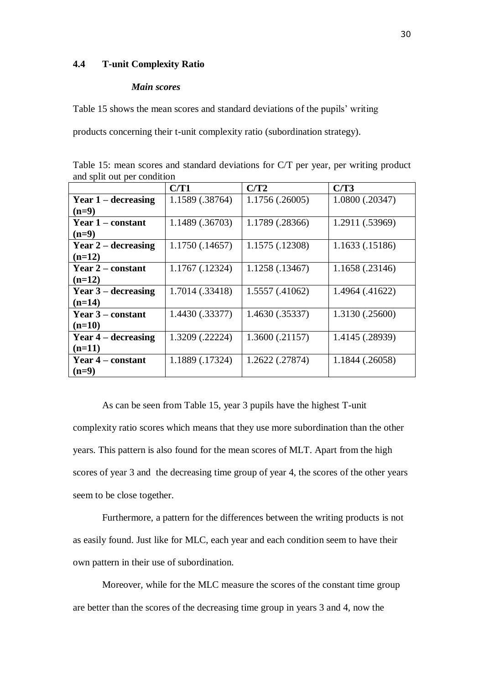#### **4.4 T-unit Complexity Ratio**

#### *Main scores*

Table 15 shows the mean scores and standard deviations of the pupils' writing

products concerning their t-unit complexity ratio (subordination strategy).

| Table 15: mean scores and standard deviations for C/T per year, per writing product |  |  |  |  |
|-------------------------------------------------------------------------------------|--|--|--|--|
| and split out per condition                                                         |  |  |  |  |

|                       | C/T1            | C/T2            | C/T3            |
|-----------------------|-----------------|-----------------|-----------------|
| Year $1$ – decreasing | 1.1589 (.38764) | 1.1756(.26005)  | 1.0800 (.20347) |
| $(n=9)$               |                 |                 |                 |
| Year $1$ – constant   | 1.1489 (.36703) | 1.1789 (.28366) | 1.2911 (.53969) |
| $(n=9)$               |                 |                 |                 |
| Year $2$ – decreasing | 1.1750(.14657)  | 1.1575 (.12308) | 1.1633 (.15186) |
| $(n=12)$              |                 |                 |                 |
| Year $2$ – constant   | 1.1767 (.12324) | 1.1258 (.13467) | 1.1658 (.23146) |
| $(n=12)$              |                 |                 |                 |
| Year $3$ – decreasing | 1.7014 (.33418) | 1.5557 (.41062) | 1.4964 (.41622) |
| $(n=14)$              |                 |                 |                 |
| Year 3 – constant     | 1.4430 (.33377) | 1.4630 (.35337) | 1.3130 (.25600) |
| $(n=10)$              |                 |                 |                 |
| Year $4$ – decreasing | 1.3209 (.22224) | 1.3600(.21157)  | 1.4145 (.28939) |
| $(n=11)$              |                 |                 |                 |
| Year $4$ – constant   | 1.1889 (.17324) | 1.2622 (.27874) | 1.1844 (.26058) |
| $(n=9)$               |                 |                 |                 |

As can be seen from Table 15, year 3 pupils have the highest T-unit complexity ratio scores which means that they use more subordination than the other years. This pattern is also found for the mean scores of MLT. Apart from the high scores of year 3 and the decreasing time group of year 4, the scores of the other years seem to be close together.

Furthermore, a pattern for the differences between the writing products is not as easily found. Just like for MLC, each year and each condition seem to have their own pattern in their use of subordination.

Moreover, while for the MLC measure the scores of the constant time group are better than the scores of the decreasing time group in years 3 and 4, now the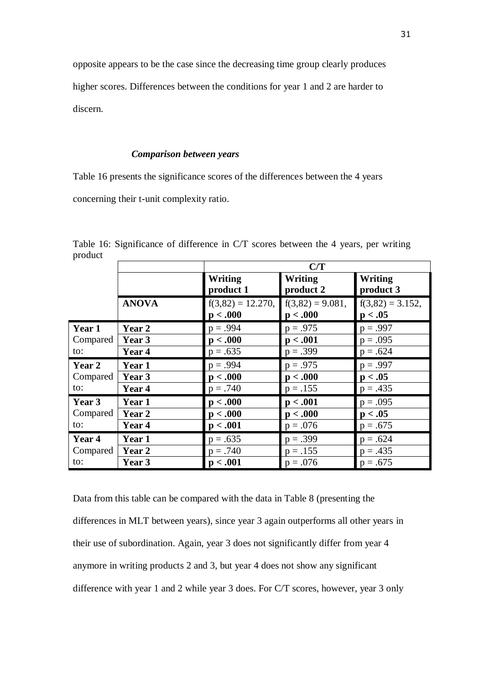opposite appears to be the case since the decreasing time group clearly produces higher scores. Differences between the conditions for year 1 and 2 are harder to discern.

#### *Comparison between years*

Table 16 presents the significance scores of the differences between the 4 years concerning their t-unit complexity ratio.

|          |              | C/T                 |                    |                    |  |  |
|----------|--------------|---------------------|--------------------|--------------------|--|--|
|          |              | Writing             | <b>Writing</b>     | Writing            |  |  |
|          |              | product 1           | product 2          | product 3          |  |  |
|          | <b>ANOVA</b> | $f(3,82) = 12.270,$ | $f(3,82) = 9.081,$ | $f(3,82) = 3.152,$ |  |  |
|          |              | p < .000            | p < .000           | p < .05            |  |  |
| Year 1   | Year 2       | $p = .994$          | $p = .975$         | $p = .997$         |  |  |
| Compared | Year 3       | p < .000            | p < .001           | $p = .095$         |  |  |
| to:      | Year 4       | $p = .635$          | $p = .399$         | $p = .624$         |  |  |
| Year 2   | Year 1       | $p = .994$          | $p = .975$         | $p = .997$         |  |  |
| Compared | Year 3       | p < .000            | p < .000           | p < .05            |  |  |
| to:      | Year 4       | $p = .740$          | $p = .155$         | $p = .435$         |  |  |
| Year 3   | Year 1       | p < .000            | p < .001           | $p = .095$         |  |  |
| Compared | Year 2       | p < .000            | p < .000           | p < .05            |  |  |
| to:      | Year 4       | p < .001            | $p = .076$         | $p = .675$         |  |  |
| Year 4   | Year 1       | $p = .635$          | $p = .399$         | $p = .624$         |  |  |
| Compared | Year 2       | $p = .740$          | $p = .155$         | $p = .435$         |  |  |
| to:      | Year 3       | p < .001            | $p = .076$         | $p = .675$         |  |  |

Table 16: Significance of difference in C/T scores between the 4 years, per writing product

Data from this table can be compared with the data in Table 8 (presenting the differences in MLT between years), since year 3 again outperforms all other years in their use of subordination. Again, year 3 does not significantly differ from year 4 anymore in writing products 2 and 3, but year 4 does not show any significant difference with year 1 and 2 while year 3 does. For C/T scores, however, year 3 only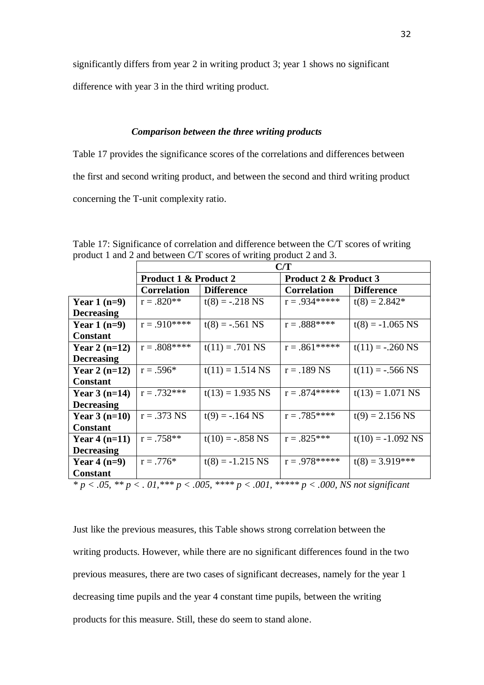significantly differs from year 2 in writing product 3; year 1 shows no significant

difference with year 3 in the third writing product.

#### *Comparison between the three writing products*

Table 17 provides the significance scores of the correlations and differences between the first and second writing product, and between the second and third writing product concerning the T-unit complexity ratio.

|                   | C/T                   |                    |                       |                     |  |  |
|-------------------|-----------------------|--------------------|-----------------------|---------------------|--|--|
|                   | Product 1 & Product 2 |                    | Product 2 & Product 3 |                     |  |  |
|                   | <b>Correlation</b>    | <b>Difference</b>  | <b>Correlation</b>    | <b>Difference</b>   |  |  |
| Year $1(n=9)$     | $r = .820**$          | $t(8) = -.218$ NS  | $r = .934*****$       | $t(8) = 2.842*$     |  |  |
| <b>Decreasing</b> |                       |                    |                       |                     |  |  |
| Year $1(n=9)$     | $r = .910***$         | $t(8) = -.561$ NS  | $r = .888$ ****       | $t(8) = -1.065$ NS  |  |  |
| <b>Constant</b>   |                       |                    |                       |                     |  |  |
| Year 2 $(n=12)$   | $r = .808$ ****       | $t(11) = .701$ NS  | $r = .861*****$       | $t(11) = -.260$ NS  |  |  |
| <b>Decreasing</b> |                       |                    |                       |                     |  |  |
| Year 2 $(n=12)$   | $r = .596*$           | $t(11) = 1.514$ NS | $r = .189$ NS         | $t(11) = -.566$ NS  |  |  |
| <b>Constant</b>   |                       |                    |                       |                     |  |  |
| Year $3(n=14)$    | $r = .732***$         | $t(13) = 1.935$ NS | $r = .874*****$       | $t(13) = 1.071$ NS  |  |  |
| <b>Decreasing</b> |                       |                    |                       |                     |  |  |
| Year $3(n=10)$    | $r = .373$ NS         | $t(9) = -.164$ NS  | $r = .785***$         | $t(9) = 2.156$ NS   |  |  |
| <b>Constant</b>   |                       |                    |                       |                     |  |  |
| Year $4(n=11)$    | $r = .758**$          | $t(10) = -.858$ NS | $r = .825***$         | $t(10) = -1.092$ NS |  |  |
| <b>Decreasing</b> |                       |                    |                       |                     |  |  |
| Year $4(n=9)$     | $r = .776*$           | $t(8) = -1.215$ NS | $r = .978*****$       | $t(8) = 3.919***$   |  |  |
| <b>Constant</b>   |                       |                    |                       |                     |  |  |

Table 17: Significance of correlation and difference between the C/T scores of writing product 1 and 2 and between C/T scores of writing product 2 and 3.

*\* p < .05, \*\* p < . 01,\*\*\* p < .005, \*\*\*\* p < .001, \*\*\*\*\* p < .000, NS not significant*

Just like the previous measures, this Table shows strong correlation between the writing products. However, while there are no significant differences found in the two previous measures, there are two cases of significant decreases, namely for the year 1 decreasing time pupils and the year 4 constant time pupils, between the writing products for this measure. Still, these do seem to stand alone.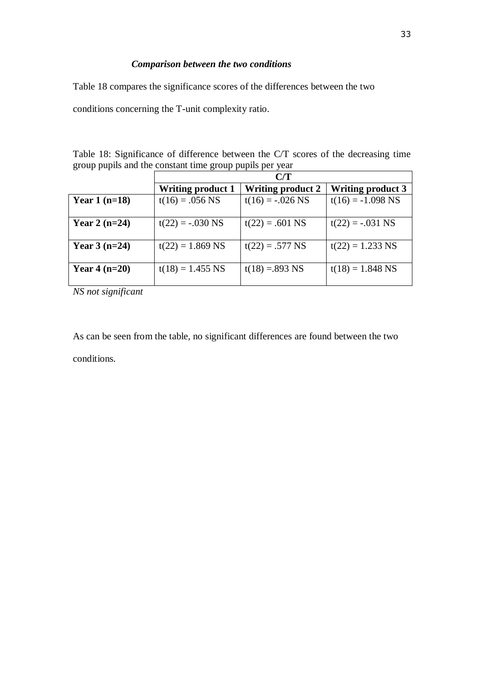# *Comparison between the two conditions*

Table 18 compares the significance scores of the differences between the two

conditions concerning the T-unit complexity ratio.

| Table 18: Significance of difference between the C/T scores of the decreasing time |  |  |  |  |
|------------------------------------------------------------------------------------|--|--|--|--|
| group pupils and the constant time group pupils per year                           |  |  |  |  |

|                 | C/T                      |                          |                          |  |  |
|-----------------|--------------------------|--------------------------|--------------------------|--|--|
|                 | <b>Writing product 1</b> | <b>Writing product 2</b> | <b>Writing product 3</b> |  |  |
| Year $1(n=18)$  | $t(16) = .056$ NS        | $t(16) = -.026$ NS       | $t(16) = -1.098$ NS      |  |  |
| Year 2 $(n=24)$ | $t(22) = -.030$ NS       | $t(22) = .601$ NS        | $t(22) = -.031$ NS       |  |  |
| Year $3(n=24)$  | $t(22) = 1.869$ NS       | $t(22) = .577$ NS        | $t(22) = 1.233$ NS       |  |  |
| Year $4(n=20)$  | $t(18) = 1.455$ NS       | $t(18) = 893$ NS         | $t(18) = 1.848$ NS       |  |  |

*NS not significant*

As can be seen from the table, no significant differences are found between the two conditions.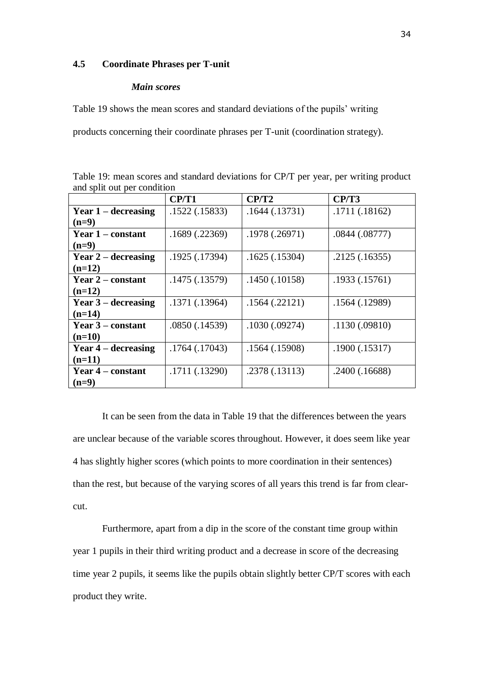#### **4.5 Coordinate Phrases per T-unit**

#### *Main scores*

Table 19 shows the mean scores and standard deviations of the pupils' writing

products concerning their coordinate phrases per T-unit (coordination strategy).

Table 19: mean scores and standard deviations for CP/T per year, per writing product and split out per condition

|                          | CP/T1          | CP/T2          | CP/T3         |
|--------------------------|----------------|----------------|---------------|
| Year $1$ – decreasing    | .1522(.15833)  | .1644(.13731)  | .1711(.18162) |
| $(n=9)$                  |                |                |               |
| Year 1 – constant        | .1689(.22369)  | .1978(.26971)  | .0844(.08777) |
| $(n=9)$                  |                |                |               |
| Year $2$ – decreasing    | .1925 (.17394) | .1625(.15304)  | .2125(.16355) |
| $(n=12)$                 |                |                |               |
| <b>Year 2 – constant</b> | .1475(.13579)  | .1450(.10158)  | .1933(.15761) |
| $(n=12)$                 |                |                |               |
| Year $3$ – decreasing    | .1371 (.13964) | .1564(.22121)  | .1564(.12989) |
| $(n=14)$                 |                |                |               |
| Year 3 – constant        | .0850 (.14539) | .1030(.09274)  | .1130(.09810) |
| $(n=10)$                 |                |                |               |
| Year $4$ – decreasing    | .1764(.17043)  | .1564(.15908)  | .1900(.15317) |
| $(n=11)$                 |                |                |               |
| <b>Year 4 – constant</b> | .1711 (.13290) | .2378 (.13113) | .2400(.16688) |
| $(n=9)$                  |                |                |               |

It can be seen from the data in Table 19 that the differences between the years are unclear because of the variable scores throughout. However, it does seem like year 4 has slightly higher scores (which points to more coordination in their sentences) than the rest, but because of the varying scores of all years this trend is far from clearcut.

Furthermore, apart from a dip in the score of the constant time group within year 1 pupils in their third writing product and a decrease in score of the decreasing time year 2 pupils, it seems like the pupils obtain slightly better CP/T scores with each product they write.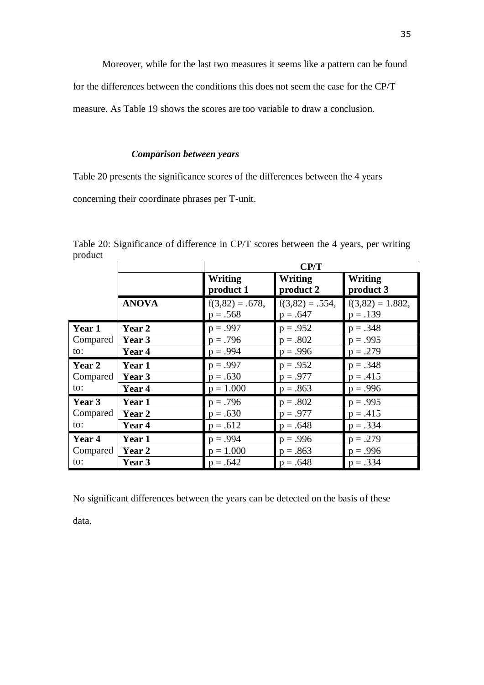Moreover, while for the last two measures it seems like a pattern can be found

for the differences between the conditions this does not seem the case for the CP/T

measure. As Table 19 shows the scores are too variable to draw a conclusion.

#### *Comparison between years*

Table 20 presents the significance scores of the differences between the 4 years

concerning their coordinate phrases per T-unit.

|          |              | CP/T                             |                                 |                                   |  |  |  |  |  |
|----------|--------------|----------------------------------|---------------------------------|-----------------------------------|--|--|--|--|--|
|          |              | <b>Writing</b><br>product 1      | Writing<br>product 2            | Writing<br>product 3              |  |  |  |  |  |
|          | <b>ANOVA</b> | $f(3,82) = .678$ ,<br>$p = .568$ | $f(3,82) = .554,$<br>$p = .647$ | $f(3,82) = 1.882$ ,<br>$p = .139$ |  |  |  |  |  |
| Year 1   | Year 2       | $p = .997$                       | $p = .952$                      | $p = .348$                        |  |  |  |  |  |
| Compared | Year 3       | $p = .796$                       | $p = .802$                      | $p = .995$                        |  |  |  |  |  |
| to:      | Year 4       | $p = .994$                       | $p = .996$                      | $p = .279$                        |  |  |  |  |  |
| Year 2   | Year 1       | $p = .997$                       | $p = .952$                      | $p = .348$                        |  |  |  |  |  |
| Compared | Year 3       | $p = .630$                       | $p = .977$                      | $p = .415$                        |  |  |  |  |  |
| to:      | Year 4       | $p = 1.000$                      | $p = .863$                      | $p = .996$                        |  |  |  |  |  |
| Year 3   | Year 1       | $p = .796$                       | $p = .802$                      | $p = .995$                        |  |  |  |  |  |
| Compared | Year 2       | $p = .630$                       | $p = .977$                      | $p = .415$                        |  |  |  |  |  |
| to:      | Year 4       | $p = .612$                       | $p = .648$                      | $p = .334$                        |  |  |  |  |  |
| Year 4   | Year 1       | $p = .994$                       | $p = .996$                      | $p = .279$                        |  |  |  |  |  |
| Compared | Year 2       | $p = 1.000$                      | $p = .863$                      | $p = .996$                        |  |  |  |  |  |
| to:      | Year 3       | $p = .642$                       | $p = .648$                      | $p = .334$                        |  |  |  |  |  |

Table 20: Significance of difference in CP/T scores between the 4 years, per writing product

No significant differences between the years can be detected on the basis of these

data.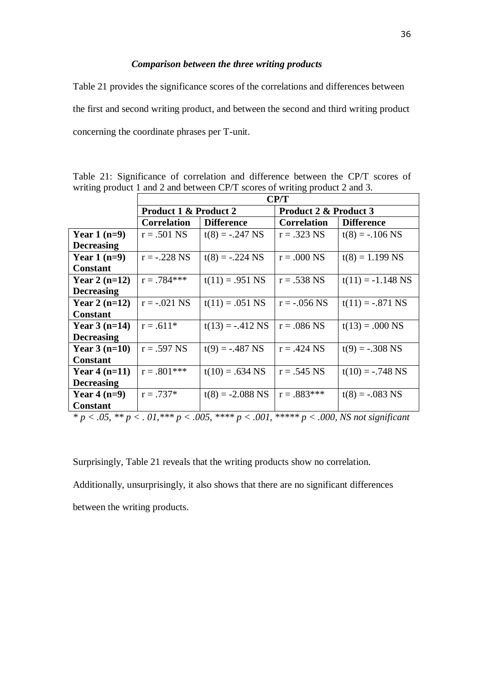#### *Comparison between the three writing products*

Table 21 provides the significance scores of the correlations and differences between the first and second writing product, and between the second and third writing product concerning the coordinate phrases per T-unit.

|                   | CP/T                                    |                                                      |                                  |                        |  |  |  |  |
|-------------------|-----------------------------------------|------------------------------------------------------|----------------------------------|------------------------|--|--|--|--|
|                   | <b>Product 1 &amp; Product 2</b>        |                                                      | <b>Product 2 &amp; Product 3</b> |                        |  |  |  |  |
|                   | <b>Correlation</b>                      | <b>Difference</b>                                    | <b>Correlation</b>               | <b>Difference</b>      |  |  |  |  |
| Year $1(n=9)$     | $r = .501$ NS                           | $t(8) = -.247$ NS                                    | $r = .323$ NS                    | $t(8) = -.106$ NS      |  |  |  |  |
| <b>Decreasing</b> |                                         |                                                      |                                  |                        |  |  |  |  |
| Year $1(n=9)$     | $r = -.228$ NS                          | $t(8) = -.224$ NS                                    | $r = .000$ NS                    | $t(8) = 1.199$ NS      |  |  |  |  |
| <b>Constant</b>   |                                         |                                                      |                                  |                        |  |  |  |  |
| Year 2 $(n=12)$   | $r = .784***$                           | $t(11) = .951$ NS                                    | $r = .538$ NS                    | $t(11) = -1.148$ NS    |  |  |  |  |
| <b>Decreasing</b> |                                         |                                                      |                                  |                        |  |  |  |  |
| Year 2 $(n=12)$   | $r = -.021$ NS                          | $t(11) = .051$ NS                                    | $r = -.056$ NS                   | $t(11) = -.871$ NS     |  |  |  |  |
| <b>Constant</b>   |                                         |                                                      |                                  |                        |  |  |  |  |
| Year $3(n=14)$    | $r = .611*$                             | $t(13) = -.412$ NS                                   | $r = .086$ NS                    | $t(13) = .000$ NS      |  |  |  |  |
| <b>Decreasing</b> |                                         |                                                      |                                  |                        |  |  |  |  |
| Year $3(n=10)$    | $r = .597$ NS                           | $t(9) = -.487$ NS                                    | $r = .424$ NS                    | $t(9) = -.308$ NS      |  |  |  |  |
| <b>Constant</b>   |                                         |                                                      |                                  |                        |  |  |  |  |
| Year $4(n=11)$    | $r = .801***$                           | $t(10) = .634$ NS                                    | $r = .545$ NS                    | $t(10) = -.748$ NS     |  |  |  |  |
| <b>Decreasing</b> |                                         |                                                      |                                  |                        |  |  |  |  |
| Year $4(n=9)$     | $r = .737*$                             | $t(8) = -2.088$ NS                                   | $r = .883***$                    | $t(8) = -.083$ NS      |  |  |  |  |
| <b>Constant</b>   |                                         |                                                      |                                  |                        |  |  |  |  |
|                   | $\bigcap$ $\mathbf{1}$ and $\mathbf{4}$ | $0.01$ denoted and $0.001$<br>$\Omega \Omega F$ www. |                                  | $0.000, \overline{10}$ |  |  |  |  |

Table 21: Significance of correlation and difference between the CP/T scores of writing product 1 and 2 and between CP/T scores of writing product 2 and 3.

*\* p < .05, \*\* p < . 01,\*\*\* p < .005, \*\*\*\* p < .001, \*\*\*\*\* p < .000, NS not significant*

Surprisingly, Table 21 reveals that the writing products show no correlation.

Additionally, unsurprisingly, it also shows that there are no significant differences between the writing products.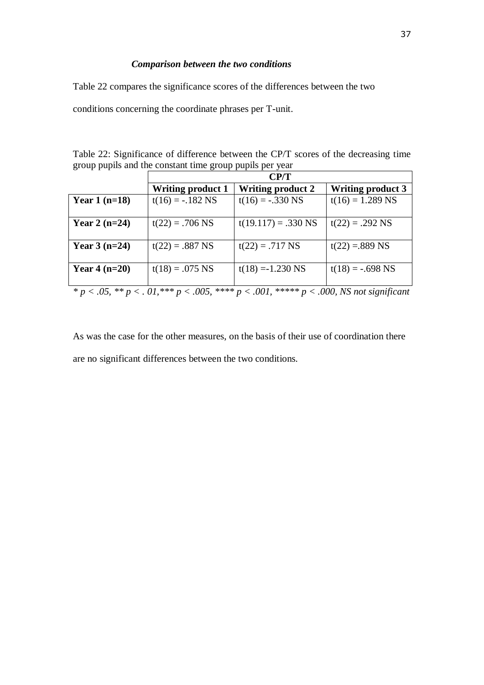#### *Comparison between the two conditions*

Table 22 compares the significance scores of the differences between the two

conditions concerning the coordinate phrases per T-unit.

Table 22: Significance of difference between the CP/T scores of the decreasing time group pupils and the constant time group pupils per year

|                                                                                                            | CP/T                     |                          |                          |  |  |  |  |  |  |
|------------------------------------------------------------------------------------------------------------|--------------------------|--------------------------|--------------------------|--|--|--|--|--|--|
|                                                                                                            | <b>Writing product 1</b> | <b>Writing product 2</b> | <b>Writing product 3</b> |  |  |  |  |  |  |
| Year $1(n=18)$                                                                                             | $t(16) = -.182$ NS       | $t(16) = -.330$ NS       | $t(16) = 1.289$ NS       |  |  |  |  |  |  |
|                                                                                                            |                          |                          |                          |  |  |  |  |  |  |
| Year 2 $(n=24)$                                                                                            | $t(22) = .706$ NS        | $t(19.117) = .330$ NS    | $t(22) = .292$ NS        |  |  |  |  |  |  |
|                                                                                                            |                          |                          |                          |  |  |  |  |  |  |
| Year $3(n=24)$                                                                                             | $t(22) = .887$ NS        | $t(22) = .717$ NS        | $t(22) = 889$ NS         |  |  |  |  |  |  |
|                                                                                                            |                          |                          |                          |  |  |  |  |  |  |
| Year $4(n=20)$                                                                                             | $t(18) = .075$ NS        | $t(18) = -1.230$ NS      | $t(18) = -.698$ NS       |  |  |  |  |  |  |
|                                                                                                            |                          |                          |                          |  |  |  |  |  |  |
| $p^* p < 0.05$ , $p^* p < 0.01$ , $p^* p < 0.005$ , $p^* p < 0.001$ , $p^* p < 0.000$ , NS not significant |                          |                          |                          |  |  |  |  |  |  |

As was the case for the other measures, on the basis of their use of coordination there are no significant differences between the two conditions.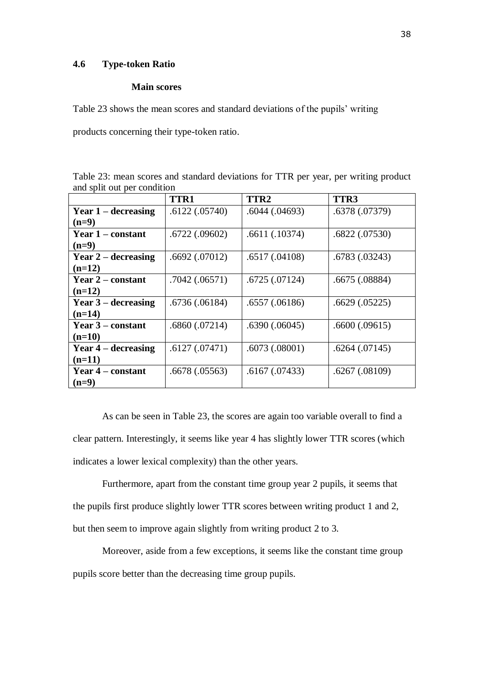#### **4.6 Type-token Ratio**

#### **Main scores**

Table 23 shows the mean scores and standard deviations of the pupils' writing

products concerning their type-token ratio.

Table 23: mean scores and standard deviations for TTR per year, per writing product and split out per condition

|                          | <b>TTR1</b>   | TTR <sub>2</sub> | TTR3               |
|--------------------------|---------------|------------------|--------------------|
| Year $1$ – decreasing    | .6122(.05740) | .6044(.04693)    | .6378 (.07379)     |
| $(n=9)$                  |               |                  |                    |
| Year 1 – constant        | .6722(.09602) | .6611(.10374)    | .6822(.07530)      |
| $(n=9)$                  |               |                  |                    |
| Year $2$ – decreasing    | .6692(.07012) | .6517(.04108)    | .6783(.03243)      |
| $(n=12)$                 |               |                  |                    |
| <b>Year 2 – constant</b> | .7042(.06571) | .6725(.07124)    | .6675(.08884)      |
| $(n=12)$                 |               |                  |                    |
| Year $3$ – decreasing    | .6736(.06184) | .6557(.06186)    | .6629(.05225)      |
| $(n=14)$                 |               |                  |                    |
| Year 3 – constant        | .6860(.07214) | .6390(.06045)    | .6600(.09615)      |
| $(n=10)$                 |               |                  |                    |
| Year $4$ – decreasing    | .6127(.07471) | .6073(.08001)    | .6264(.07145)      |
| $(n=11)$                 |               |                  |                    |
| Year 4 – constant        | .6678(.05563) | .6167(.07433)    | $.6267 \,(.08109)$ |
| $(n=9)$                  |               |                  |                    |

As can be seen in Table 23, the scores are again too variable overall to find a clear pattern. Interestingly, it seems like year 4 has slightly lower TTR scores (which indicates a lower lexical complexity) than the other years.

Furthermore, apart from the constant time group year 2 pupils, it seems that the pupils first produce slightly lower TTR scores between writing product 1 and 2, but then seem to improve again slightly from writing product 2 to 3.

Moreover, aside from a few exceptions, it seems like the constant time group pupils score better than the decreasing time group pupils.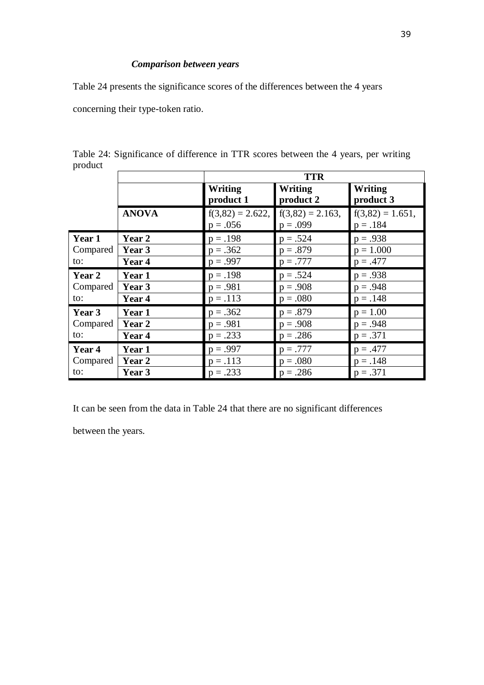#### *Comparison between years*

Table 24 presents the significance scores of the differences between the 4 years

concerning their type-token ratio.

| $r \sim$ |              | <b>TTR</b>                       |                                   |                                  |  |  |  |  |
|----------|--------------|----------------------------------|-----------------------------------|----------------------------------|--|--|--|--|
|          |              | <b>Writing</b><br>product 1      | <b>Writing</b><br>product 2       | <b>Writing</b><br>product 3      |  |  |  |  |
|          | <b>ANOVA</b> | $f(3,82) = 2.622,$<br>$p = .056$ | $f(3,82) = 2.163$ ,<br>$p = .099$ | $f(3,82) = 1.651,$<br>$p = .184$ |  |  |  |  |
| Year 1   | Year 2       | $p = .198$                       | $p = .524$                        | $p = .938$                       |  |  |  |  |
| Compared | Year 3       | $p = .362$                       | $p = .879$                        | $p = 1.000$                      |  |  |  |  |
| to:      | Year 4       | $p = .997$                       | $p = .777$                        | $p = .477$                       |  |  |  |  |
| Year 2   | Year 1       | $p = .198$                       | $p = .524$                        | $p = .938$                       |  |  |  |  |
| Compared | Year 3       | $p = .981$                       | $p = .908$                        | $p = .948$                       |  |  |  |  |
| to:      | Year 4       | $p = .113$                       | $p = .080$                        | $p = .148$                       |  |  |  |  |
| Year 3   | Year 1       | $p = .362$                       | $p = .879$                        | $p = 1.00$                       |  |  |  |  |
| Compared | Year 2       | $p = .981$                       | $p = .908$                        | $p = .948$                       |  |  |  |  |
| to:      | Year 4       | $p = .233$                       | $p = .286$                        | $p = .371$                       |  |  |  |  |
| Year 4   | Year 1       | $p = .997$                       | $p = .777$                        | $p = .477$                       |  |  |  |  |
| Compared | Year 2       | $p = .113$                       | $p = .080$                        | $p = .148$                       |  |  |  |  |
| to:      | Year 3       | $p = .233$                       | $p = .286$                        | $p = .371$                       |  |  |  |  |

Table 24: Significance of difference in TTR scores between the 4 years, per writing product

It can be seen from the data in Table 24 that there are no significant differences

between the years.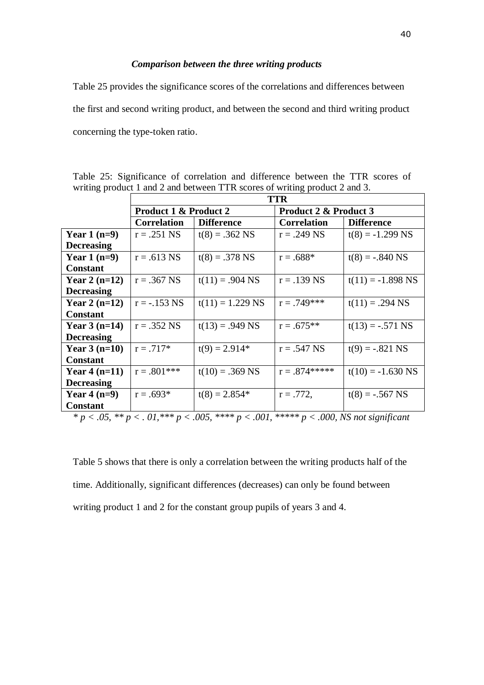#### *Comparison between the three writing products*

Table 25 provides the significance scores of the correlations and differences between the first and second writing product, and between the second and third writing product concerning the type-token ratio.

|                                                                                                       | <b>TTR</b>                       |                    |                       |                     |  |  |  |  |  |
|-------------------------------------------------------------------------------------------------------|----------------------------------|--------------------|-----------------------|---------------------|--|--|--|--|--|
|                                                                                                       | <b>Product 1 &amp; Product 2</b> |                    | Product 2 & Product 3 |                     |  |  |  |  |  |
|                                                                                                       | <b>Correlation</b>               | <b>Difference</b>  | <b>Correlation</b>    | <b>Difference</b>   |  |  |  |  |  |
| Year $1(n=9)$                                                                                         | $r = .251$ NS                    | $t(8) = .362$ NS   | $r = .249$ NS         | $t(8) = -1.299$ NS  |  |  |  |  |  |
| <b>Decreasing</b>                                                                                     |                                  |                    |                       |                     |  |  |  |  |  |
| Year $1(n=9)$                                                                                         | $r = .613$ NS                    | $t(8) = .378$ NS   | $r = .688*$           | $t(8) = -.840$ NS   |  |  |  |  |  |
| <b>Constant</b>                                                                                       |                                  |                    |                       |                     |  |  |  |  |  |
| Year 2 $(n=12)$                                                                                       | $r = .367$ NS                    | $t(11) = .904$ NS  | $r = .139$ NS         | $t(11) = -1.898$ NS |  |  |  |  |  |
| <b>Decreasing</b>                                                                                     |                                  |                    |                       |                     |  |  |  |  |  |
| Year 2 $(n=12)$                                                                                       | $r = -0.153$ NS                  | $t(11) = 1.229$ NS | $r = .749***$         | $t(11) = .294$ NS   |  |  |  |  |  |
| <b>Constant</b>                                                                                       |                                  |                    |                       |                     |  |  |  |  |  |
| Year $3(n=14)$                                                                                        | $r = .352$ NS                    | $t(13) = .949$ NS  | $r = .675**$          | $t(13) = -.571$ NS  |  |  |  |  |  |
| <b>Decreasing</b>                                                                                     |                                  |                    |                       |                     |  |  |  |  |  |
| Year $3(n=10)$                                                                                        | $r = .717*$                      | $t(9) = 2.914*$    | $r = .547$ NS         | $t(9) = -.821$ NS   |  |  |  |  |  |
| <b>Constant</b>                                                                                       |                                  |                    |                       |                     |  |  |  |  |  |
| Year $4(n=11)$                                                                                        | $r = .801***$                    | $t(10) = .369$ NS  | $r = .874*****$       | $t(10) = -1.630$ NS |  |  |  |  |  |
| <b>Decreasing</b>                                                                                     |                                  |                    |                       |                     |  |  |  |  |  |
| Year $4(n=9)$                                                                                         | $r = .693*$<br>$t(8) = 2.854*$   |                    | $r = .772$ ,          | $t(8) = -.567$ NS   |  |  |  |  |  |
| <b>Constant</b>                                                                                       |                                  |                    |                       |                     |  |  |  |  |  |
| * $p < .05$ , ** $p < .01$ , *** $p < .005$ , **** $p < .001$ , ***** $p < .000$ , NS not significant |                                  |                    |                       |                     |  |  |  |  |  |

Table 25: Significance of correlation and difference between the TTR scores of writing product 1 and 2 and between TTR scores of writing product 2 and 3.

Table 5 shows that there is only a correlation between the writing products half of the time. Additionally, significant differences (decreases) can only be found between writing product 1 and 2 for the constant group pupils of years 3 and 4.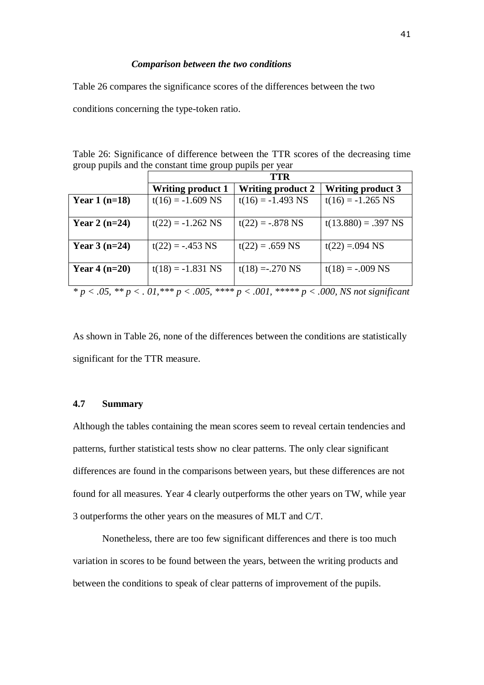#### *Comparison between the two conditions*

Table 26 compares the significance scores of the differences between the two

conditions concerning the type-token ratio.

|  |  |  | Table 26: Significance of difference between the TTR scores of the decreasing time |  |  |  |  |
|--|--|--|------------------------------------------------------------------------------------|--|--|--|--|
|  |  |  | group pupils and the constant time group pupils per year                           |  |  |  |  |

|                                                                                                       | <b>TTR</b>               |                          |                          |  |  |  |  |  |  |
|-------------------------------------------------------------------------------------------------------|--------------------------|--------------------------|--------------------------|--|--|--|--|--|--|
|                                                                                                       | <b>Writing product 1</b> | <b>Writing product 2</b> | <b>Writing product 3</b> |  |  |  |  |  |  |
| Year $1(n=18)$                                                                                        | $t(16) = -1.609$ NS      | $t(16) = -1.493$ NS      | $t(16) = -1.265$ NS      |  |  |  |  |  |  |
|                                                                                                       |                          |                          |                          |  |  |  |  |  |  |
| Year 2 $(n=24)$                                                                                       | $t(22) = -1.262$ NS      | $t(22) = -.878$ NS       | $t(13.880) = .397$ NS    |  |  |  |  |  |  |
|                                                                                                       |                          |                          |                          |  |  |  |  |  |  |
| Year $3(n=24)$                                                                                        | $t(22) = -.453$ NS       | $t(22) = .659$ NS        | $t(22) = 0.094$ NS       |  |  |  |  |  |  |
|                                                                                                       |                          |                          |                          |  |  |  |  |  |  |
| Year $4(n=20)$                                                                                        | $t(18) = -1.831$ NS      | $t(18) = .270$ NS        | $t(18) = -.009$ NS       |  |  |  |  |  |  |
|                                                                                                       |                          |                          |                          |  |  |  |  |  |  |
| * $p < .05$ , ** $p < .01$ , *** $p < .005$ , **** $p < .001$ , ***** $p < .000$ , NS not significant |                          |                          |                          |  |  |  |  |  |  |

As shown in Table 26, none of the differences between the conditions are statistically significant for the TTR measure.

#### **4.7 Summary**

Although the tables containing the mean scores seem to reveal certain tendencies and patterns, further statistical tests show no clear patterns. The only clear significant differences are found in the comparisons between years, but these differences are not found for all measures. Year 4 clearly outperforms the other years on TW, while year 3 outperforms the other years on the measures of MLT and C/T.

Nonetheless, there are too few significant differences and there is too much variation in scores to be found between the years, between the writing products and between the conditions to speak of clear patterns of improvement of the pupils.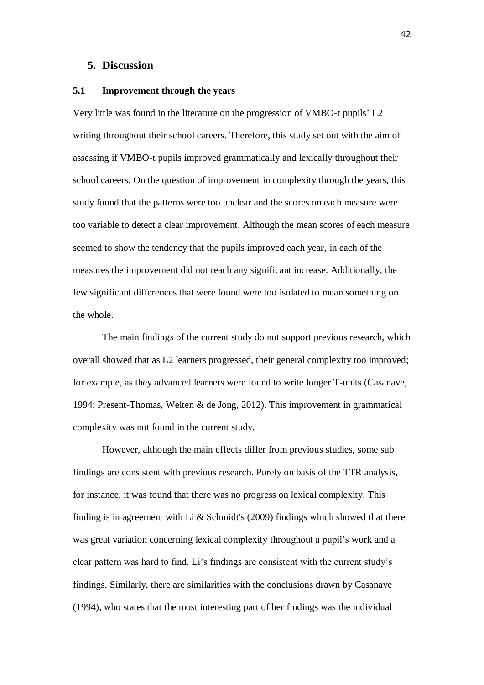#### **5. Discussion**

#### **5.1 Improvement through the years**

Very little was found in the literature on the progression of VMBO-t pupils' L2 writing throughout their school careers. Therefore, this study set out with the aim of assessing if VMBO-t pupils improved grammatically and lexically throughout their school careers. On the question of improvement in complexity through the years, this study found that the patterns were too unclear and the scores on each measure were too variable to detect a clear improvement. Although the mean scores of each measure seemed to show the tendency that the pupils improved each year, in each of the measures the improvement did not reach any significant increase. Additionally, the few significant differences that were found were too isolated to mean something on the whole.

The main findings of the current study do not support previous research, which overall showed that as L2 learners progressed, their general complexity too improved; for example, as they advanced learners were found to write longer T-units (Casanave, 1994; Present-Thomas, Welten & de Jong, 2012). This improvement in grammatical complexity was not found in the current study.

However, although the main effects differ from previous studies, some sub findings are consistent with previous research. Purely on basis of the TTR analysis, for instance, it was found that there was no progress on lexical complexity. This finding is in agreement with Li & Schmidt's  $(2009)$  findings which showed that there was great variation concerning lexical complexity throughout a pupil's work and a clear pattern was hard to find. Li's findings are consistent with the current study's findings. Similarly, there are similarities with the conclusions drawn by Casanave (1994), who states that the most interesting part of her findings was the individual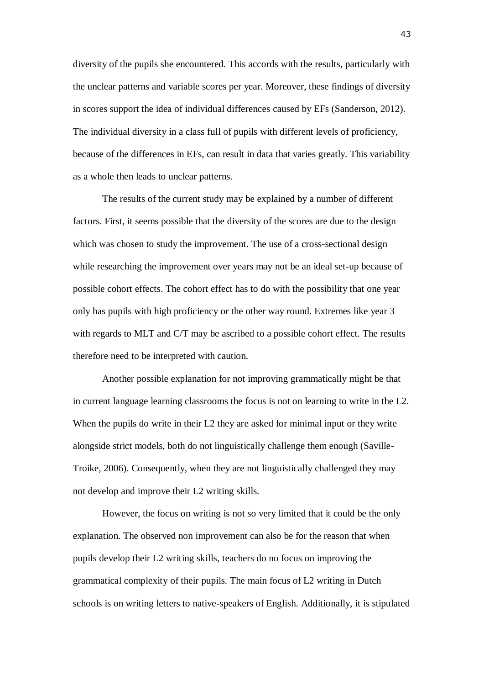diversity of the pupils she encountered. This accords with the results, particularly with the unclear patterns and variable scores per year. Moreover, these findings of diversity in scores support the idea of individual differences caused by EFs (Sanderson, 2012). The individual diversity in a class full of pupils with different levels of proficiency, because of the differences in EFs, can result in data that varies greatly. This variability as a whole then leads to unclear patterns.

The results of the current study may be explained by a number of different factors. First, it seems possible that the diversity of the scores are due to the design which was chosen to study the improvement. The use of a cross-sectional design while researching the improvement over years may not be an ideal set-up because of possible cohort effects. The cohort effect has to do with the possibility that one year only has pupils with high proficiency or the other way round. Extremes like year 3 with regards to MLT and C/T may be ascribed to a possible cohort effect. The results therefore need to be interpreted with caution.

Another possible explanation for not improving grammatically might be that in current language learning classrooms the focus is not on learning to write in the L2. When the pupils do write in their L2 they are asked for minimal input or they write alongside strict models, both do not linguistically challenge them enough (Saville-Troike, 2006). Consequently, when they are not linguistically challenged they may not develop and improve their L2 writing skills.

However, the focus on writing is not so very limited that it could be the only explanation. The observed non improvement can also be for the reason that when pupils develop their L2 writing skills, teachers do no focus on improving the grammatical complexity of their pupils. The main focus of L2 writing in Dutch schools is on writing letters to native-speakers of English. Additionally, it is stipulated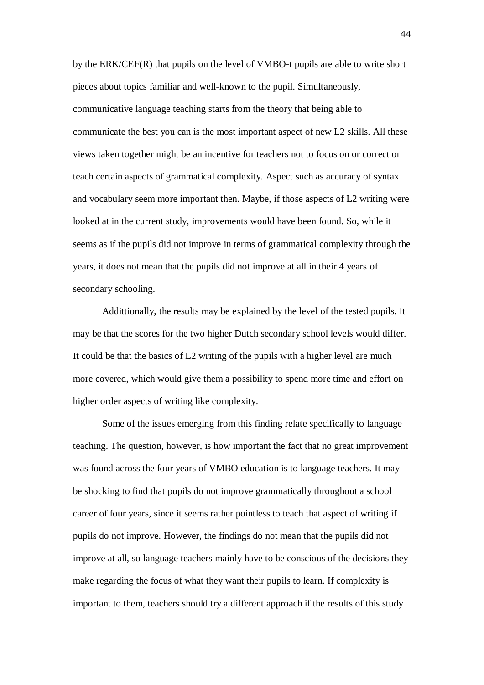by the ERK/CEF(R) that pupils on the level of VMBO-t pupils are able to write short pieces about topics familiar and well-known to the pupil. Simultaneously, communicative language teaching starts from the theory that being able to communicate the best you can is the most important aspect of new L2 skills. All these views taken together might be an incentive for teachers not to focus on or correct or teach certain aspects of grammatical complexity. Aspect such as accuracy of syntax and vocabulary seem more important then. Maybe, if those aspects of L2 writing were looked at in the current study, improvements would have been found. So, while it seems as if the pupils did not improve in terms of grammatical complexity through the years, it does not mean that the pupils did not improve at all in their 4 years of secondary schooling.

Addittionally, the results may be explained by the level of the tested pupils. It may be that the scores for the two higher Dutch secondary school levels would differ. It could be that the basics of L2 writing of the pupils with a higher level are much more covered, which would give them a possibility to spend more time and effort on higher order aspects of writing like complexity.

Some of the issues emerging from this finding relate specifically to language teaching. The question, however, is how important the fact that no great improvement was found across the four years of VMBO education is to language teachers. It may be shocking to find that pupils do not improve grammatically throughout a school career of four years, since it seems rather pointless to teach that aspect of writing if pupils do not improve. However, the findings do not mean that the pupils did not improve at all, so language teachers mainly have to be conscious of the decisions they make regarding the focus of what they want their pupils to learn. If complexity is important to them, teachers should try a different approach if the results of this study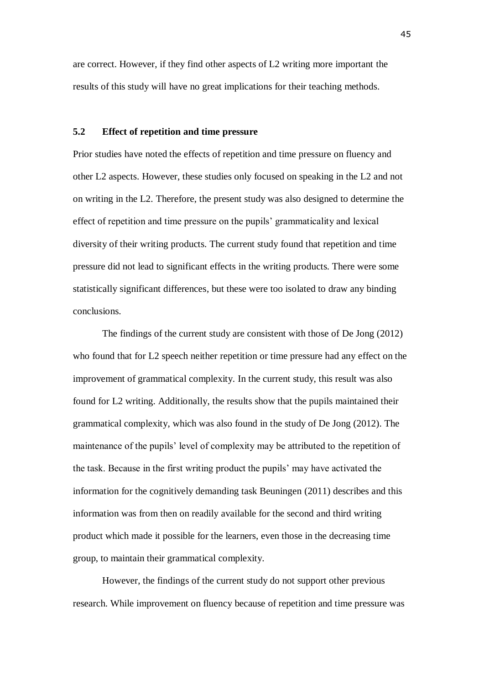are correct. However, if they find other aspects of L2 writing more important the results of this study will have no great implications for their teaching methods.

#### **5.2 Effect of repetition and time pressure**

Prior studies have noted the effects of repetition and time pressure on fluency and other L2 aspects. However, these studies only focused on speaking in the L2 and not on writing in the L2. Therefore, the present study was also designed to determine the effect of repetition and time pressure on the pupils' grammaticality and lexical diversity of their writing products. The current study found that repetition and time pressure did not lead to significant effects in the writing products. There were some statistically significant differences, but these were too isolated to draw any binding conclusions.

The findings of the current study are consistent with those of De Jong (2012) who found that for L2 speech neither repetition or time pressure had any effect on the improvement of grammatical complexity. In the current study, this result was also found for L2 writing. Additionally, the results show that the pupils maintained their grammatical complexity, which was also found in the study of De Jong (2012). The maintenance of the pupils' level of complexity may be attributed to the repetition of the task. Because in the first writing product the pupils' may have activated the information for the cognitively demanding task Beuningen (2011) describes and this information was from then on readily available for the second and third writing product which made it possible for the learners, even those in the decreasing time group, to maintain their grammatical complexity.

However, the findings of the current study do not support other previous research. While improvement on fluency because of repetition and time pressure was

45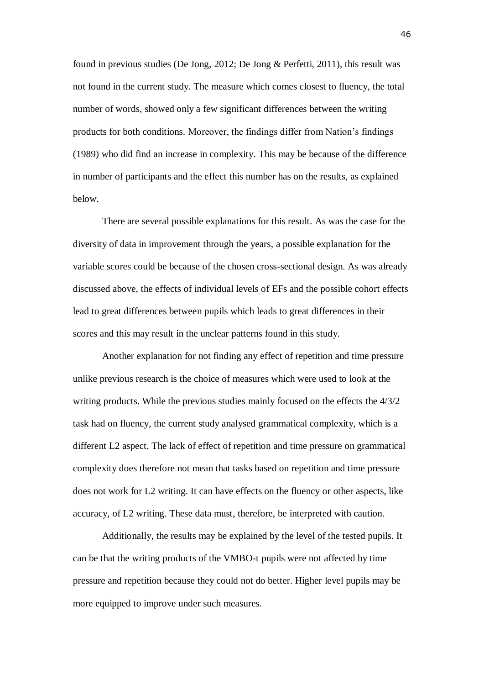found in previous studies (De Jong, 2012; De Jong & Perfetti, 2011), this result was not found in the current study. The measure which comes closest to fluency, the total number of words, showed only a few significant differences between the writing products for both conditions. Moreover, the findings differ from Nation's findings (1989) who did find an increase in complexity. This may be because of the difference in number of participants and the effect this number has on the results, as explained below.

There are several possible explanations for this result. As was the case for the diversity of data in improvement through the years, a possible explanation for the variable scores could be because of the chosen cross-sectional design. As was already discussed above, the effects of individual levels of EFs and the possible cohort effects lead to great differences between pupils which leads to great differences in their scores and this may result in the unclear patterns found in this study.

Another explanation for not finding any effect of repetition and time pressure unlike previous research is the choice of measures which were used to look at the writing products. While the previous studies mainly focused on the effects the 4/3/2 task had on fluency, the current study analysed grammatical complexity, which is a different L2 aspect. The lack of effect of repetition and time pressure on grammatical complexity does therefore not mean that tasks based on repetition and time pressure does not work for L2 writing. It can have effects on the fluency or other aspects, like accuracy, of L2 writing. These data must, therefore, be interpreted with caution.

Additionally, the results may be explained by the level of the tested pupils. It can be that the writing products of the VMBO-t pupils were not affected by time pressure and repetition because they could not do better. Higher level pupils may be more equipped to improve under such measures.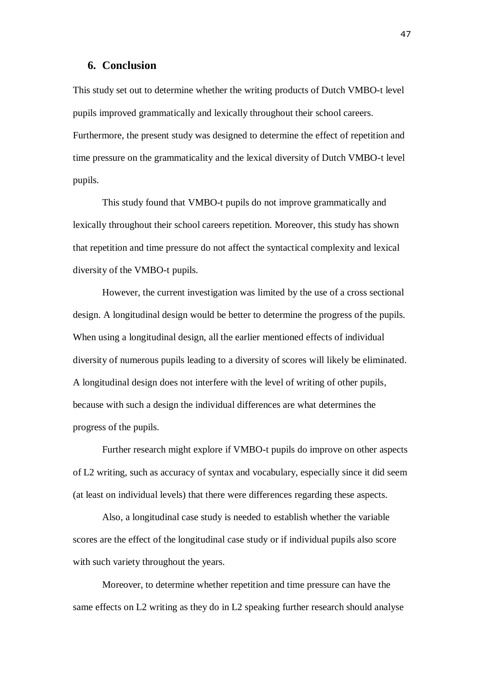#### **6. Conclusion**

This study set out to determine whether the writing products of Dutch VMBO-t level pupils improved grammatically and lexically throughout their school careers. Furthermore, the present study was designed to determine the effect of repetition and time pressure on the grammaticality and the lexical diversity of Dutch VMBO-t level pupils.

This study found that VMBO-t pupils do not improve grammatically and lexically throughout their school careers repetition. Moreover, this study has shown that repetition and time pressure do not affect the syntactical complexity and lexical diversity of the VMBO-t pupils.

However, the current investigation was limited by the use of a cross sectional design. A longitudinal design would be better to determine the progress of the pupils. When using a longitudinal design, all the earlier mentioned effects of individual diversity of numerous pupils leading to a diversity of scores will likely be eliminated. A longitudinal design does not interfere with the level of writing of other pupils, because with such a design the individual differences are what determines the progress of the pupils.

Further research might explore if VMBO-t pupils do improve on other aspects of L2 writing, such as accuracy of syntax and vocabulary, especially since it did seem (at least on individual levels) that there were differences regarding these aspects.

Also, a longitudinal case study is needed to establish whether the variable scores are the effect of the longitudinal case study or if individual pupils also score with such variety throughout the years.

Moreover, to determine whether repetition and time pressure can have the same effects on L2 writing as they do in L2 speaking further research should analyse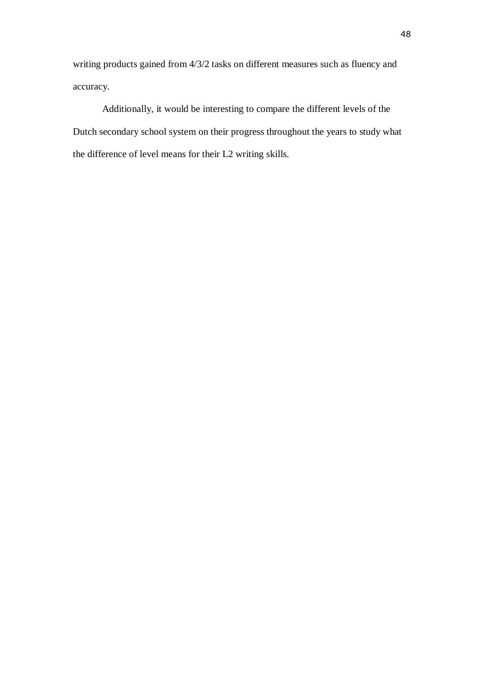writing products gained from 4/3/2 tasks on different measures such as fluency and accuracy.

Additionally, it would be interesting to compare the different levels of the Dutch secondary school system on their progress throughout the years to study what the difference of level means for their L2 writing skills.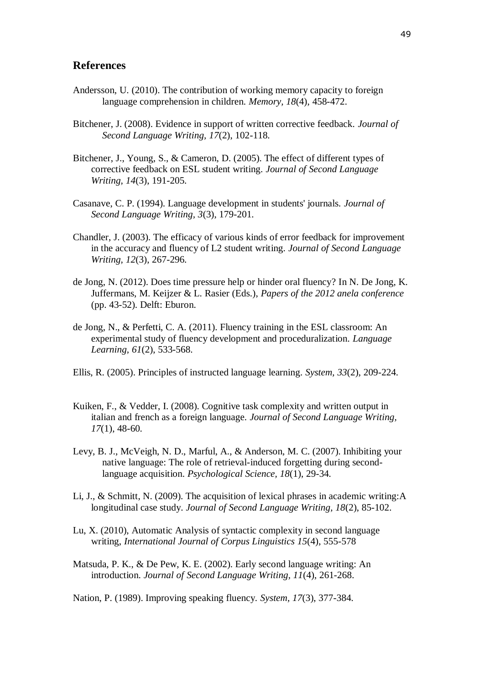#### **References**

- Andersson, U. (2010). The contribution of working memory capacity to foreign language comprehension in children. *Memory, 18*(4), 458-472.
- Bitchener, J. (2008). Evidence in support of written corrective feedback. *Journal of Second Language Writing, 17*(2), 102-118.
- Bitchener, J., Young, S., & Cameron, D. (2005). The effect of different types of corrective feedback on ESL student writing. *Journal of Second Language Writing, 14*(3), 191-205.
- Casanave, C. P. (1994). Language development in students' journals. *Journal of Second Language Writing, 3*(3), 179-201.
- Chandler, J. (2003). The efficacy of various kinds of error feedback for improvement in the accuracy and fluency of L2 student writing. *Journal of Second Language Writing, 12*(3), 267-296.
- de Jong, N. (2012). Does time pressure help or hinder oral fluency? In N. De Jong, K. Juffermans, M. Keijzer & L. Rasier (Eds.), *Papers of the 2012 anela conference* (pp. 43-52). Delft: Eburon.
- de Jong, N., & Perfetti, C. A. (2011). Fluency training in the ESL classroom: An experimental study of fluency development and proceduralization. *Language Learning, 61*(2), 533-568.
- Ellis, R. (2005). Principles of instructed language learning. *System, 33*(2), 209-224.
- Kuiken, F., & Vedder, I. (2008). Cognitive task complexity and written output in italian and french as a foreign language. *Journal of Second Language Writing, 17*(1), 48-60.
- Levy, B. J., McVeigh, N. D., Marful, A., & Anderson, M. C. (2007). Inhibiting your native language: The role of retrieval-induced forgetting during secondlanguage acquisition. *Psychological Science, 18*(1), 29-34.
- Li, J., & Schmitt, N. (2009). The acquisition of lexical phrases in academic writing:A longitudinal case study. *Journal of Second Language Writing, 18*(2), 85-102.
- Lu, X. (2010), Automatic Analysis of syntactic complexity in second language writing, *International Journal of Corpus Linguistics 15*(4), 555-578
- Matsuda, P. K., & De Pew, K. E. (2002). Early second language writing: An introduction. *Journal of Second Language Writing, 11*(4), 261-268.

Nation, P. (1989). Improving speaking fluency. *System, 17*(3), 377-384.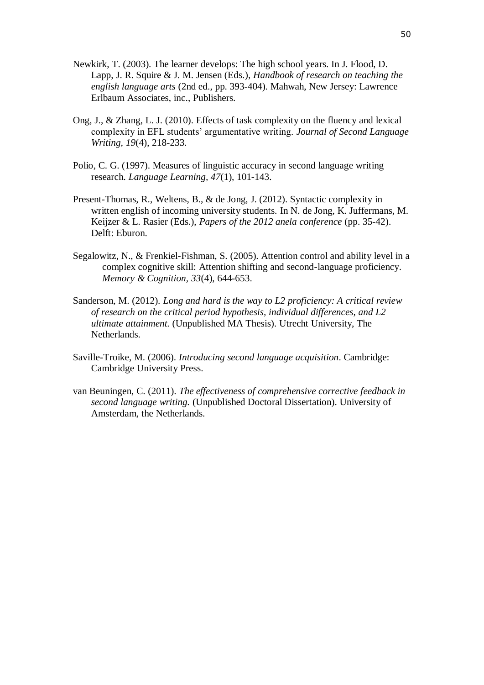- Newkirk, T. (2003). The learner develops: The high school years. In J. Flood, D. Lapp, J. R. Squire & J. M. Jensen (Eds.), *Handbook of research on teaching the english language arts* (2nd ed., pp. 393-404). Mahwah, New Jersey: Lawrence Erlbaum Associates, inc., Publishers.
- Ong, J., & Zhang, L. J. (2010). Effects of task complexity on the fluency and lexical complexity in EFL students' argumentative writing. *Journal of Second Language Writing, 19*(4), 218-233.
- Polio, C. G. (1997). Measures of linguistic accuracy in second language writing research. *Language Learning, 47*(1), 101-143.
- Present-Thomas, R., Weltens, B., & de Jong, J. (2012). Syntactic complexity in written english of incoming university students. In N. de Jong, K. Juffermans, M. Keijzer & L. Rasier (Eds.), *Papers of the 2012 anela conference* (pp. 35-42). Delft: Eburon.
- Segalowitz, N., & Frenkiel-Fishman, S. (2005). Attention control and ability level in a complex cognitive skill: Attention shifting and second-language proficiency. *Memory & Cognition, 33*(4), 644-653.
- Sanderson, M. (2012). *Long and hard is the way to L2 proficiency: A critical review of research on the critical period hypothesis, individual differences, and L2 ultimate attainment.* (Unpublished MA Thesis). Utrecht University, The Netherlands.
- Saville-Troike, M. (2006). *Introducing second language acquisition*. Cambridge: Cambridge University Press.
- van Beuningen, C. (2011). *The effectiveness of comprehensive corrective feedback in second language writing.* (Unpublished Doctoral Dissertation). University of Amsterdam, the Netherlands.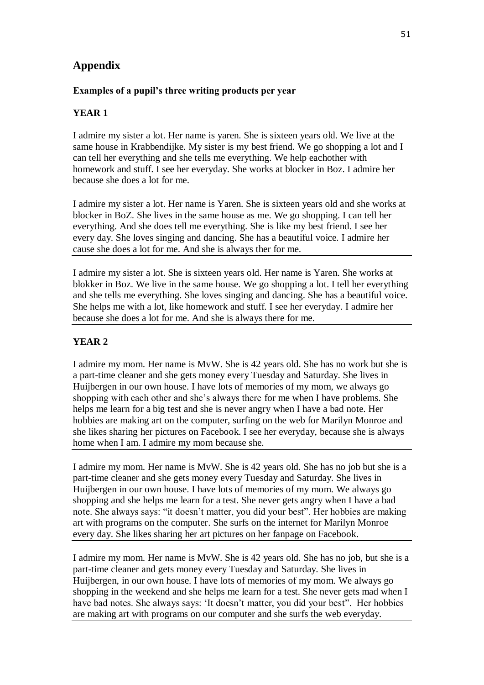# **Appendix**

### **Examples of a pupil's three writing products per year**

# **YEAR 1**

I admire my sister a lot. Her name is yaren. She is sixteen years old. We live at the same house in Krabbendijke. My sister is my best friend. We go shopping a lot and I can tell her everything and she tells me everything. We help eachother with homework and stuff. I see her everyday. She works at blocker in Boz. I admire her because she does a lot for me.

I admire my sister a lot. Her name is Yaren. She is sixteen years old and she works at blocker in BoZ. She lives in the same house as me. We go shopping. I can tell her everything. And she does tell me everything. She is like my best friend. I see her every day. She loves singing and dancing. She has a beautiful voice. I admire her cause she does a lot for me. And she is always ther for me.

I admire my sister a lot. She is sixteen years old. Her name is Yaren. She works at blokker in Boz. We live in the same house. We go shopping a lot. I tell her everything and she tells me everything. She loves singing and dancing. She has a beautiful voice. She helps me with a lot, like homework and stuff. I see her everyday. I admire her because she does a lot for me. And she is always there for me.

# **YEAR 2**

I admire my mom. Her name is MvW. She is 42 years old. She has no work but she is a part-time cleaner and she gets money every Tuesday and Saturday. She lives in Huijbergen in our own house. I have lots of memories of my mom, we always go shopping with each other and she's always there for me when I have problems. She helps me learn for a big test and she is never angry when I have a bad note. Her hobbies are making art on the computer, surfing on the web for Marilyn Monroe and she likes sharing her pictures on Facebook. I see her everyday, because she is always home when I am. I admire my mom because she.

I admire my mom. Her name is MvW. She is 42 years old. She has no job but she is a part-time cleaner and she gets money every Tuesday and Saturday. She lives in Huijbergen in our own house. I have lots of memories of my mom. We always go shopping and she helps me learn for a test. She never gets angry when I have a bad note. She always says: "it doesn't matter, you did your best". Her hobbies are making art with programs on the computer. She surfs on the internet for Marilyn Monroe every day. She likes sharing her art pictures on her fanpage on Facebook.

I admire my mom. Her name is MvW. She is 42 years old. She has no job, but she is a part-time cleaner and gets money every Tuesday and Saturday. She lives in Huijbergen, in our own house. I have lots of memories of my mom. We always go shopping in the weekend and she helps me learn for a test. She never gets mad when I have bad notes. She always says: 'It doesn't matter, you did your best". Her hobbies are making art with programs on our computer and she surfs the web everyday.